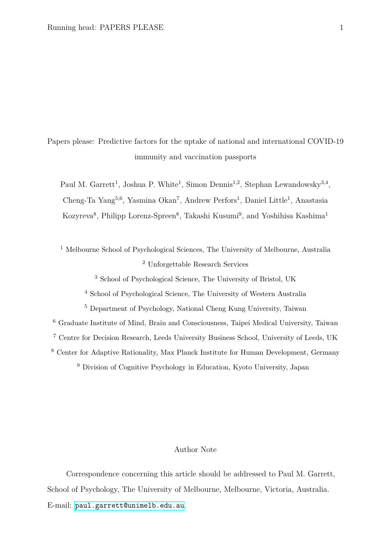Papers please: Predictive factors for the uptake of national and international COVID-19 immunity and vaccination passports

Paul M. Garrett<sup>1</sup>, Joshua P. White<sup>1</sup>, Simon Dennis<sup>1,2</sup>, Stephan Lewandowsky<sup>3,4</sup>, Cheng-Ta Yang<sup>5,6</sup>, Yasmina Okan<sup>7</sup>, Andrew Perfors<sup>1</sup>, Daniel Little<sup>1</sup>, Anastasia Kozyreva<sup>8</sup>, Philipp Lorenz-Spreen<sup>8</sup>, Takashi Kusumi<sup>9</sup>, and Yoshihisa Kashima<sup>1</sup>

<sup>1</sup> Melbourne School of Psychological Sciences, The University of Melbourne, Australia <sup>2</sup> Unforgettable Research Services

<sup>3</sup> School of Psychological Science, The University of Bristol, UK

<sup>4</sup> School of Psychological Science, The University of Western Australia

 Department of Psychology, National Cheng Kung University, Taiwan Graduate Institute of Mind, Brain and Consciousness, Taipei Medical University, Taiwan Centre for Decision Research, Leeds University Business School, University of Leeds, UK Center for Adaptive Rationality, Max Planck Institute for Human Development, Germany Division of Cognitive Psychology in Education, Kyoto University, Japan

## Author Note

Correspondence concerning this article should be addressed to Paul M. Garrett, School of Psychology, The University of Melbourne, Melbourne, Victoria, Australia. E-mail: <paul.garrett@unimelb.edu.au>.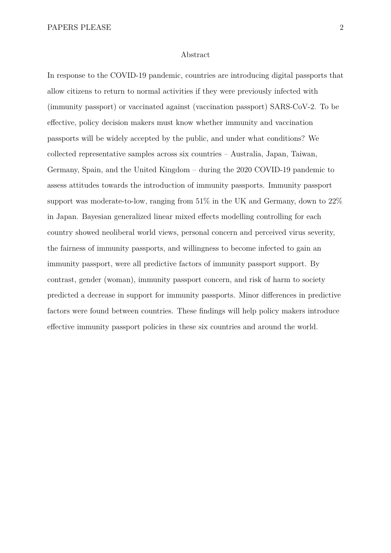#### Abstract

In response to the COVID-19 pandemic, countries are introducing digital passports that allow citizens to return to normal activities if they were previously infected with (immunity passport) or vaccinated against (vaccination passport) SARS-CoV-2. To be effective, policy decision makers must know whether immunity and vaccination passports will be widely accepted by the public, and under what conditions? We collected representative samples across six countries – Australia, Japan, Taiwan, Germany, Spain, and the United Kingdom – during the 2020 COVID-19 pandemic to assess attitudes towards the introduction of immunity passports. Immunity passport support was moderate-to-low, ranging from 51% in the UK and Germany, down to 22% in Japan. Bayesian generalized linear mixed effects modelling controlling for each country showed neoliberal world views, personal concern and perceived virus severity, the fairness of immunity passports, and willingness to become infected to gain an immunity passport, were all predictive factors of immunity passport support. By contrast, gender (woman), immunity passport concern, and risk of harm to society predicted a decrease in support for immunity passports. Minor differences in predictive factors were found between countries. These findings will help policy makers introduce effective immunity passport policies in these six countries and around the world.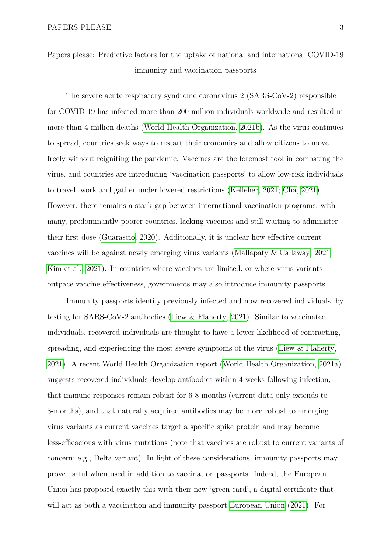Papers please: Predictive factors for the uptake of national and international COVID-19 immunity and vaccination passports

The severe acute respiratory syndrome coronavirus 2 (SARS-CoV-2) responsible for COVID-19 has infected more than 200 million individuals worldwide and resulted in more than 4 million deaths [\(World Health Organization, 2021b\)](#page-27-0). As the virus continues to spread, countries seek ways to restart their economies and allow citizens to move freely without reigniting the pandemic. Vaccines are the foremost tool in combating the virus, and countries are introducing 'vaccination passports' to allow low-risk individuals to travel, work and gather under lowered restrictions [\(Kelleher, 2021;](#page-25-0) [Cha, 2021\)](#page-24-0). However, there remains a stark gap between international vaccination programs, with many, predominantly poorer countries, lacking vaccines and still waiting to administer their first dose [\(Guarascio, 2020\)](#page-25-1). Additionally, it is unclear how effective current vaccines will be against newly emerging virus variants [\(Mallapaty & Callaway, 2021;](#page-26-0) [Kim et al., 2021\)](#page-26-1). In countries where vaccines are limited, or where virus variants outpace vaccine effectiveness, governments may also introduce immunity passports.

Immunity passports identify previously infected and now recovered individuals, by testing for SARS-CoV-2 antibodies [\(Liew & Flaherty, 2021\)](#page-26-2). Similar to vaccinated individuals, recovered individuals are thought to have a lower likelihood of contracting, spreading, and experiencing the most severe symptoms of the virus (Liew  $\&$  Flaherty, [2021\)](#page-26-2). A recent World Health Organization report [\(World Health Organization, 2021a\)](#page-27-1) suggests recovered individuals develop antibodies within 4-weeks following infection, that immune responses remain robust for 6-8 months (current data only extends to 8-months), and that naturally acquired antibodies may be more robust to emerging virus variants as current vaccines target a specific spike protein and may become less-efficacious with virus mutations (note that vaccines are robust to current variants of concern; e.g., Delta variant). In light of these considerations, immunity passports may prove useful when used in addition to vaccination passports. Indeed, the European Union has proposed exactly this with their new 'green card', a digital certificate that will act as both a vaccination and immunity passport [European Union](#page-24-1) [\(2021\)](#page-24-1). For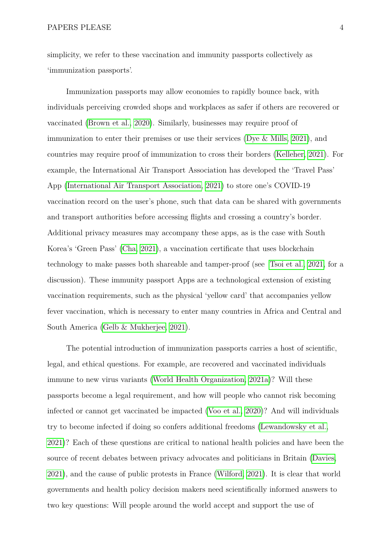simplicity, we refer to these vaccination and immunity passports collectively as 'immunization passports'.

Immunization passports may allow economies to rapidly bounce back, with individuals perceiving crowded shops and workplaces as safer if others are recovered or vaccinated [\(Brown et al., 2020\)](#page-24-2). Similarly, businesses may require proof of immunization to enter their premises or use their services [\(Dye & Mills, 2021\)](#page-24-3), and countries may require proof of immunization to cross their borders [\(Kelleher, 2021\)](#page-25-0). For example, the International Air Transport Association has developed the 'Travel Pass' App [\(International Air Transport Association, 2021\)](#page-25-2) to store one's COVID-19 vaccination record on the user's phone, such that data can be shared with governments and transport authorities before accessing flights and crossing a country's border. Additional privacy measures may accompany these apps, as is the case with South Korea's 'Green Pass' [\(Cha, 2021\)](#page-24-0), a vaccination certificate that uses blockchain technology to make passes both shareable and tamper-proof (see [Tsoi et al., 2021,](#page-27-2) for a discussion). These immunity passport Apps are a technological extension of existing vaccination requirements, such as the physical 'yellow card' that accompanies yellow fever vaccination, which is necessary to enter many countries in Africa and Central and South America [\(Gelb & Mukherjee, 2021\)](#page-25-3).

The potential introduction of immunization passports carries a host of scientific, legal, and ethical questions. For example, are recovered and vaccinated individuals immune to new virus variants [\(World Health Organization, 2021a\)](#page-27-1)? Will these passports become a legal requirement, and how will people who cannot risk becoming infected or cannot get vaccinated be impacted [\(Voo et al., 2020\)](#page-27-3)? And will individuals try to become infected if doing so confers additional freedoms [\(Lewandowsky et al.,](#page-26-3) [2021\)](#page-26-3)? Each of these questions are critical to national health policies and have been the source of recent debates between privacy advocates and politicians in Britain [\(Davies,](#page-24-4) [2021\)](#page-24-4), and the cause of public protests in France [\(Wilford, 2021\)](#page-27-4). It is clear that world governments and health policy decision makers need scientifically informed answers to two key questions: Will people around the world accept and support the use of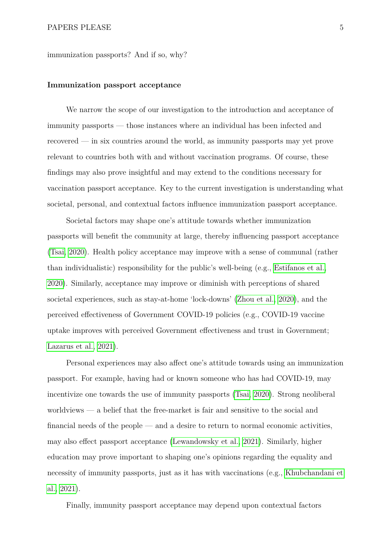immunization passports? And if so, why?

#### **Immunization passport acceptance**

We narrow the scope of our investigation to the introduction and acceptance of immunity passports — those instances where an individual has been infected and recovered — in six countries around the world, as immunity passports may yet prove relevant to countries both with and without vaccination programs. Of course, these findings may also prove insightful and may extend to the conditions necessary for vaccination passport acceptance. Key to the current investigation is understanding what societal, personal, and contextual factors influence immunization passport acceptance.

Societal factors may shape one's attitude towards whether immunization passports will benefit the community at large, thereby influencing passport acceptance [\(Tsai, 2020\)](#page-27-5). Health policy acceptance may improve with a sense of communal (rather than individualistic) responsibility for the public's well-being (e.g., [Estifanos et al.,](#page-24-5) [2020\)](#page-24-5). Similarly, acceptance may improve or diminish with perceptions of shared societal experiences, such as stay-at-home 'lock-downs' [\(Zhou et al., 2020\)](#page-27-6), and the perceived effectiveness of Government COVID-19 policies (e.g., COVID-19 vaccine uptake improves with perceived Government effectiveness and trust in Government; [Lazarus et al., 2021\)](#page-26-4).

Personal experiences may also affect one's attitude towards using an immunization passport. For example, having had or known someone who has had COVID-19, may incentivize one towards the use of immunity passports [\(Tsai, 2020\)](#page-27-5). Strong neoliberal worldviews — a belief that the free-market is fair and sensitive to the social and financial needs of the people — and a desire to return to normal economic activities, may also effect passport acceptance [\(Lewandowsky et al., 2021\)](#page-26-3). Similarly, higher education may prove important to shaping one's opinions regarding the equality and necessity of immunity passports, just as it has with vaccinations (e.g., [Khubchandani et](#page-26-5) [al., 2021\)](#page-26-5).

Finally, immunity passport acceptance may depend upon contextual factors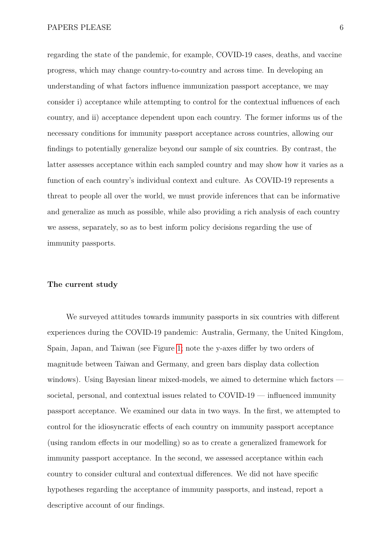regarding the state of the pandemic, for example, COVID-19 cases, deaths, and vaccine progress, which may change country-to-country and across time. In developing an understanding of what factors influence immunization passport acceptance, we may consider i) acceptance while attempting to control for the contextual influences of each country, and ii) acceptance dependent upon each country. The former informs us of the necessary conditions for immunity passport acceptance across countries, allowing our findings to potentially generalize beyond our sample of six countries. By contrast, the latter assesses acceptance within each sampled country and may show how it varies as a function of each country's individual context and culture. As COVID-19 represents a threat to people all over the world, we must provide inferences that can be informative and generalize as much as possible, while also providing a rich analysis of each country we assess, separately, so as to best inform policy decisions regarding the use of immunity passports.

## **The current study**

We surveyed attitudes towards immunity passports in six countries with different experiences during the COVID-19 pandemic: Australia, Germany, the United Kingdom, Spain, Japan, and Taiwan (see Figure [1;](#page-6-0) note the y-axes differ by two orders of magnitude between Taiwan and Germany, and green bars display data collection windows). Using Bayesian linear mixed-models, we aimed to determine which factors societal, personal, and contextual issues related to COVID-19 — influenced immunity passport acceptance. We examined our data in two ways. In the first, we attempted to control for the idiosyncratic effects of each country on immunity passport acceptance (using random effects in our modelling) so as to create a generalized framework for immunity passport acceptance. In the second, we assessed acceptance within each country to consider cultural and contextual differences. We did not have specific hypotheses regarding the acceptance of immunity passports, and instead, report a descriptive account of our findings.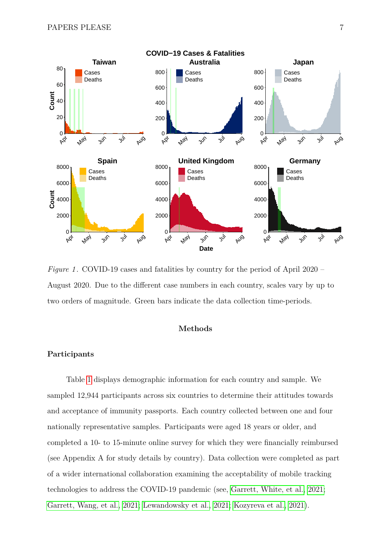<span id="page-6-0"></span>

*Figure 1*. COVID-19 cases and fatalities by country for the period of April 2020 – August 2020. Due to the different case numbers in each country, scales vary by up to two orders of magnitude. Green bars indicate the data collection time-periods.

### **Methods**

#### **Participants**

Table [1](#page-7-0) displays demographic information for each country and sample. We sampled 12,944 participants across six countries to determine their attitudes towards and acceptance of immunity passports. Each country collected between one and four nationally representative samples. Participants were aged 18 years or older, and completed a 10- to 15-minute online survey for which they were financially reimbursed (see Appendix A for study details by country). Data collection were completed as part of a wider international collaboration examining the acceptability of mobile tracking technologies to address the COVID-19 pandemic (see, [Garrett, White, et al., 2021;](#page-25-4) [Garrett, Wang, et al., 2021;](#page-25-5) [Lewandowsky et al., 2021;](#page-26-3) [Kozyreva et al., 2021\)](#page-26-6).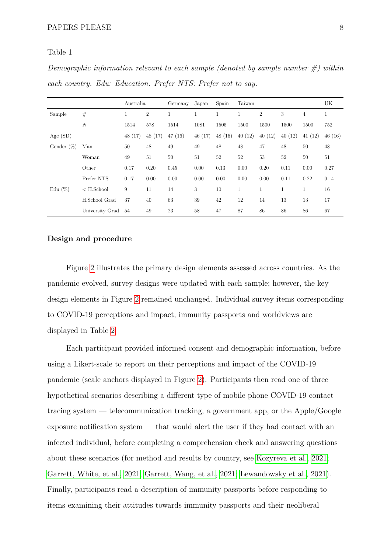#### <span id="page-7-0"></span>Table 1

*Demographic information relevant to each sample (denoted by sample number #) within each country. Edu: Education. Prefer NTS: Prefer not to say.*

|               |                  | Australia |                | Germany | Japan        | Spain        | Taiwan       |                |              |                | UK           |
|---------------|------------------|-----------|----------------|---------|--------------|--------------|--------------|----------------|--------------|----------------|--------------|
| Sample        | #                | 1         | $\overline{2}$ |         | $\mathbf{1}$ | $\mathbf{1}$ | $\mathbf{1}$ | $\overline{2}$ | 3            | $\overline{4}$ | $\mathbf{1}$ |
|               | $\cal N$         | 1514      | 578            | 1514    | 1081         | 1505         | 1500         | 1500           | 1500         | 1500           | 752          |
| Age $(SD)$    |                  | 48(17)    | 48 (17)        | 47(16)  | 46(17)       | 48(16)       | 40(12)       | 40(12)         | 40(12)       | 41(12)         | 46(16)       |
| Gender $(\%)$ | Man              | 50        | 48             | 49      | 49           | 48           | 48           | 47             | 48           | 50             | 48           |
|               | Woman            | 49        | 51             | 50      | 51           | 52           | 52           | 53             | 52           | 50             | 51           |
|               | Other            | 0.17      | 0.20           | 0.45    | 0.00         | 0.13         | 0.00         | 0.20           | 0.11         | 0.00           | 0.27         |
|               | Prefer NTS       | 0.17      | 0.00           | 0.00    | 0.00         | 0.00         | 0.00         | 0.00           | 0.11         | 0.22           | 0.14         |
| Edu $(\%)$    | $\rm < H.School$ | 9         | 11             | 14      | 3            | 10           | 1            | $\mathbf{1}$   | $\mathbf{1}$ | $\mathbf{1}$   | 16           |
|               | H.School Grad    | 37        | 40             | 63      | 39           | 42           | 12           | 14             | 13           | 13             | 17           |
|               | University Grad  | 54        | 49             | 23      | 58           | 47           | 87           | 86             | 86           | 86             | 67           |

#### **Design and procedure**

Figure [2](#page-8-0) illustrates the primary design elements assessed across countries. As the pandemic evolved, survey designs were updated with each sample; however, the key design elements in Figure [2](#page-8-0) remained unchanged. Individual survey items corresponding to COVID-19 perceptions and impact, immunity passports and worldviews are displayed in Table [2.](#page-9-0)

Each participant provided informed consent and demographic information, before using a Likert-scale to report on their perceptions and impact of the COVID-19 pandemic (scale anchors displayed in Figure [2\)](#page-8-0). Participants then read one of three hypothetical scenarios describing a different type of mobile phone COVID-19 contact tracing system — telecommunication tracking, a government app, or the Apple/Google exposure notification system — that would alert the user if they had contact with an infected individual, before completing a comprehension check and answering questions about these scenarios (for method and results by country, see [Kozyreva et al., 2021;](#page-26-6) [Garrett, White, et al., 2021;](#page-25-4) [Garrett, Wang, et al., 2021;](#page-25-5) [Lewandowsky et al., 2021\)](#page-26-3). Finally, participants read a description of immunity passports before responding to items examining their attitudes towards immunity passports and their neoliberal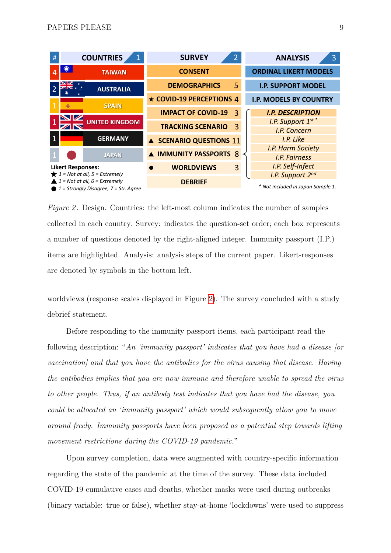<span id="page-8-0"></span>

| #                                                                                                                                                                    |                       | <b>COUNTRIES</b> | <b>SURVEY</b><br>$\overline{2}$ | 3<br><b>ANALYSIS</b>                      |
|----------------------------------------------------------------------------------------------------------------------------------------------------------------------|-----------------------|------------------|---------------------------------|-------------------------------------------|
|                                                                                                                                                                      |                       | <b>TAIWAN</b>    | <b>CONSENT</b>                  | <b>ORDINAL LIKERT MODELS</b>              |
|                                                                                                                                                                      |                       | <b>AUSTRALIA</b> | <b>DEMOGRAPHICS</b><br>5        | <b>I.P. SUPPORT MODEL</b>                 |
|                                                                                                                                                                      |                       | <b>SPAIN</b>     | ★ COVID-19 PERCEPTIONS 4        | <b>I.P. MODELS BY COUNTRY</b>             |
|                                                                                                                                                                      |                       |                  | <b>IMPACT OF COVID-19</b><br>3  | <b>I.P. DESCRIPTION</b>                   |
|                                                                                                                                                                      | <b>UNITED KINGDOM</b> |                  | 3<br><b>TRACKING SCENARIO</b>   | <i>I.P.</i> Support $1^{st}$ <sup>*</sup> |
|                                                                                                                                                                      |                       |                  |                                 | I.P. Concern                              |
| $\mathbf{1}$                                                                                                                                                         |                       | <b>GERMANY</b>   | A SCENARIO QUESTIONS 11         | I.P. Like                                 |
|                                                                                                                                                                      |                       |                  |                                 | I.P. Harm Society                         |
|                                                                                                                                                                      |                       | <b>JAPAN</b>     | <b>A IMMUNITY PASSPORTS 8</b>   | <b>I.P. Fairness</b>                      |
| <b>Likert Responses:</b><br>$\bigstar$ 1 = Not at all, 5 = Extremely<br>$\triangle$ 1 = Not at all, 6 = Extremely<br>$\bullet$ 1 = Strongly Disagree, 7 = Str. Agree |                       |                  | 3<br><b>WORLDVIEWS</b>          | I.P. Self-Infect                          |
|                                                                                                                                                                      |                       |                  |                                 | I.P. Support 2nd                          |
|                                                                                                                                                                      |                       |                  | <b>DEBRIEF</b>                  | * Not included in Japan Sample 1.         |

*Figure 2.* Design. Countries: the left-most column indicates the number of samples collected in each country. Survey: indicates the question-set order; each box represents a number of questions denoted by the right-aligned integer. Immunity passport (I.P.) items are highlighted. Analysis: analysis steps of the current paper. Likert-responses are denoted by symbols in the bottom left.

worldviews (response scales displayed in Figure [2\)](#page-8-0). The survey concluded with a study debrief statement.

Before responding to the immunity passport items, each participant read the following description: "*An 'immunity passport' indicates that you have had a disease [or vaccination] and that you have the antibodies for the virus causing that disease. Having the antibodies implies that you are now immune and therefore unable to spread the virus to other people. Thus, if an antibody test indicates that you have had the disease, you could be allocated an 'immunity passport' which would subsequently allow you to move around freely. Immunity passports have been proposed as a potential step towards lifting movement restrictions during the COVID-19 pandemic.*"

Upon survey completion, data were augmented with country-specific information regarding the state of the pandemic at the time of the survey. These data included COVID-19 cumulative cases and deaths, whether masks were used during outbreaks (binary variable: true or false), whether stay-at-home 'lockdowns' were used to suppress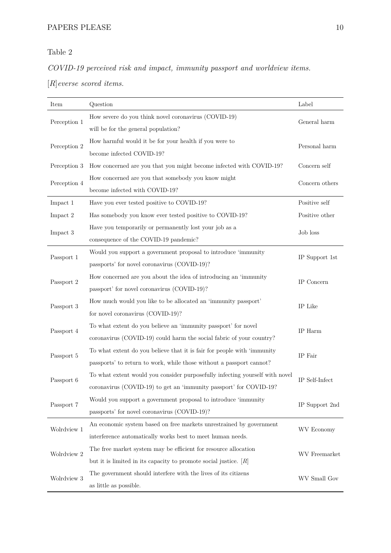# <span id="page-9-0"></span>Table 2

*COVID-19 perceived risk and impact, immunity passport and worldview items.*

[*R*]*everse scored items.*

| Item         | Question                                                                     | Label                            |  |  |
|--------------|------------------------------------------------------------------------------|----------------------------------|--|--|
| Perception 1 | How severe do you think novel coronavirus (COVID-19)                         | General harm                     |  |  |
|              | will be for the general population?                                          |                                  |  |  |
| Perception 2 | How harmful would it be for your health if you were to                       | Personal harm                    |  |  |
|              | become infected COVID-19?                                                    |                                  |  |  |
| Perception 3 | How concerned are you that you might become infected with COVID-19?          | Concern self                     |  |  |
| Perception 4 | How concerned are you that somebody you know might                           | Concern others                   |  |  |
|              | become infected with COVID-19?                                               |                                  |  |  |
| Impact 1     | Have you ever tested positive to COVID-19?                                   | Positive self                    |  |  |
| Impact 2     | Has somebody you know ever tested positive to COVID-19?                      | Positive other                   |  |  |
| Impact 3     | Have you temporarily or permanently lost your job as a                       | Job loss                         |  |  |
|              | consequence of the COVID-19 pandemic?                                        |                                  |  |  |
| Passport 1   | Would you support a government proposal to introduce 'immunity               | IP Support 1st                   |  |  |
|              | passports' for novel coronavirus (COVID-19)?                                 |                                  |  |  |
| Passport 2   | How concerned are you about the idea of introducing an 'immunity             | IP Concern                       |  |  |
|              | passport' for novel coronavirus (COVID-19)?                                  |                                  |  |  |
| Passport 3   | How much would you like to be allocated an 'immunity passport'               | IP Like                          |  |  |
|              | for novel coronavirus (COVID-19)?                                            |                                  |  |  |
| Passport 4   | To what extent do you believe an 'immunity passport' for novel               | IP Harm                          |  |  |
|              | coronavirus (COVID-19) could harm the social fabric of your country?         |                                  |  |  |
| Passport 5   | To what extent do you believe that it is fair for people with 'immunity      | IP Fair                          |  |  |
|              | passports' to return to work, while those without a passport cannot?         |                                  |  |  |
| Passport 6   | To what extent would you consider purposefully infecting yourself with novel | IP Self-Infect                   |  |  |
|              | coronavirus (COVID-19) to get an 'immunity passport' for COVID-19?           |                                  |  |  |
| Passport 7   | Would you support a government proposal to introduce 'immunity               | IP Support 2nd                   |  |  |
|              | passports' for novel coronavirus (COVID-19)?                                 |                                  |  |  |
| Wolrdview 1  | An economic system based on free markets unrestrained by government          | $\ensuremath{\text{WV}}$ Economy |  |  |
|              | interference automatically works best to meet human needs.                   |                                  |  |  |
| Wolrdview 2  | The free market system may be efficient for resource allocation              | WV Freemarket                    |  |  |
|              | but it is limited in its capacity to promote social justice. $ R $           |                                  |  |  |
| Wolrdview 3  | The government should interfere with the lives of its citizens               | WV Small Gov                     |  |  |
|              | as little as possible.                                                       |                                  |  |  |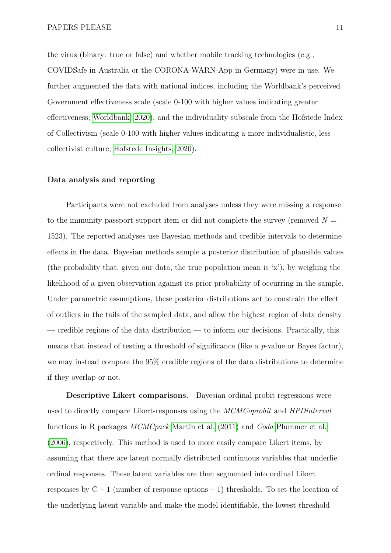the virus (binary: true or false) and whether mobile tracking technologies (e.g., COVIDSafe in Australia or the CORONA-WARN-App in Germany) were in use. We further augmented the data with national indices, including the Worldbank's perceived Government effectiveness scale (scale 0-100 with higher values indicating greater effectiveness; [Worldbank, 2020\)](#page-27-7), and the individuality subscale from the Hofstede Index of Collectivism (scale 0-100 with higher values indicating a more individualistic, less collectivist culture; [Hofstede Insights, 2020\)](#page-25-6).

#### **Data analysis and reporting**

Participants were not excluded from analyses unless they were missing a response to the immunity passport support item or did not complete the survey (removed  $N =$ 1523). The reported analyses use Bayesian methods and credible intervals to determine effects in the data. Bayesian methods sample a posterior distribution of plausible values (the probability that, given our data, the true population mean is 'x'), by weighing the likelihood of a given observation against its prior probability of occurring in the sample. Under parametric assumptions, these posterior distributions act to constrain the effect of outliers in the tails of the sampled data, and allow the highest region of data density — credible regions of the data distribution — to inform our decisions. Practically, this means that instead of testing a threshold of significance (like a *p*-value or Bayes factor), we may instead compare the 95% credible regions of the data distributions to determine if they overlap or not.

**Descriptive Likert comparisons.** Bayesian ordinal probit regressions were used to directly compare Likert-responses using the *MCMCoprobit* and *HPDinterval* functions in R packages *MCMCpack* [Martin et al.](#page-26-7) [\(2011\)](#page-26-7) and *Coda* [Plummer et al.](#page-26-8) [\(2006\)](#page-26-8), respectively. This method is used to more easily compare Likert items, by assuming that there are latent normally distributed continuous variables that underlie ordinal responses. These latent variables are then segmented into ordinal Likert responses by  $C - 1$  (number of response options  $-1$ ) thresholds. To set the location of the underlying latent variable and make the model identifiable, the lowest threshold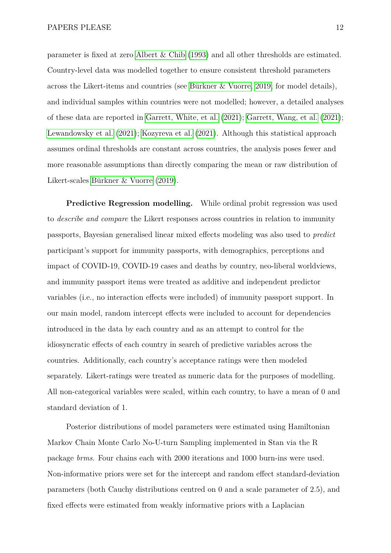parameter is fixed at zero [Albert & Chib](#page-24-6) [\(1993\)](#page-24-6) and all other thresholds are estimated. Country-level data was modelled together to ensure consistent threshold parameters across the Likert-items and countries (see [Bürkner & Vuorre, 2019,](#page-24-7) for model details), and individual samples within countries were not modelled; however, a detailed analyses of these data are reported in [Garrett, White, et al.](#page-25-4) [\(2021\)](#page-25-4); [Garrett, Wang, et al.](#page-25-5) [\(2021\)](#page-25-5); [Lewandowsky et al.](#page-26-3) [\(2021\)](#page-26-3); [Kozyreva et al.](#page-26-6) [\(2021\)](#page-26-6). Although this statistical approach assumes ordinal thresholds are constant across countries, the analysis poses fewer and more reasonable assumptions than directly comparing the mean or raw distribution of Likert-scales [Bürkner & Vuorre](#page-24-7) [\(2019\)](#page-24-7).

**Predictive Regression modelling.** While ordinal probit regression was used to *describe and compare* the Likert responses across countries in relation to immunity passports, Bayesian generalised linear mixed effects modeling was also used to *predict* participant's support for immunity passports, with demographics, perceptions and impact of COVID-19, COVID-19 cases and deaths by country, neo-liberal worldviews, and immunity passport items were treated as additive and independent predictor variables (i.e., no interaction effects were included) of immunity passport support. In our main model, random intercept effects were included to account for dependencies introduced in the data by each country and as an attempt to control for the idiosyncratic effects of each country in search of predictive variables across the countries. Additionally, each country's acceptance ratings were then modeled separately. Likert-ratings were treated as numeric data for the purposes of modelling. All non-categorical variables were scaled, within each country, to have a mean of 0 and standard deviation of 1.

Posterior distributions of model parameters were estimated using Hamiltonian Markov Chain Monte Carlo No-U-turn Sampling implemented in Stan via the R package *brms*. Four chains each with 2000 iterations and 1000 burn-ins were used. Non-informative priors were set for the intercept and random effect standard-deviation parameters (both Cauchy distributions centred on 0 and a scale parameter of 2.5), and fixed effects were estimated from weakly informative priors with a Laplacian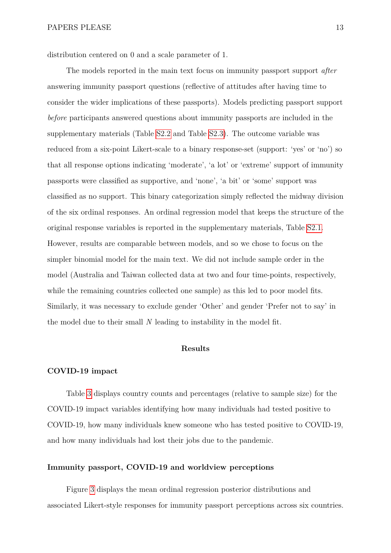distribution centered on 0 and a scale parameter of 1.

The models reported in the main text focus on immunity passport support *after* answering immunity passport questions (reflective of attitudes after having time to consider the wider implications of these passports). Models predicting passport support *before* participants answered questions about immunity passports are included in the supplementary materials (Table [S2.2](#page-33-0) and Table [S2.3\)](#page-34-0). The outcome variable was reduced from a six-point Likert-scale to a binary response-set (support: 'yes' or 'no') so that all response options indicating 'moderate', 'a lot' or 'extreme' support of immunity passports were classified as supportive, and 'none', 'a bit' or 'some' support was classified as no support. This binary categorization simply reflected the midway division of the six ordinal responses. An ordinal regression model that keeps the structure of the original response variables is reported in the supplementary materials, Table [S2.1.](#page-32-0) However, results are comparable between models, and so we chose to focus on the simpler binomial model for the main text. We did not include sample order in the model (Australia and Taiwan collected data at two and four time-points, respectively, while the remaining countries collected one sample) as this led to poor model fits. Similarly, it was necessary to exclude gender 'Other' and gender 'Prefer not to say' in the model due to their small *N* leading to instability in the model fit.

## **Results**

### **COVID-19 impact**

Table [3](#page-13-0) displays country counts and percentages (relative to sample size) for the COVID-19 impact variables identifying how many individuals had tested positive to COVID-19, how many individuals knew someone who has tested positive to COVID-19, and how many individuals had lost their jobs due to the pandemic.

#### **Immunity passport, COVID-19 and worldview perceptions**

Figure [3](#page-14-0) displays the mean ordinal regression posterior distributions and associated Likert-style responses for immunity passport perceptions across six countries.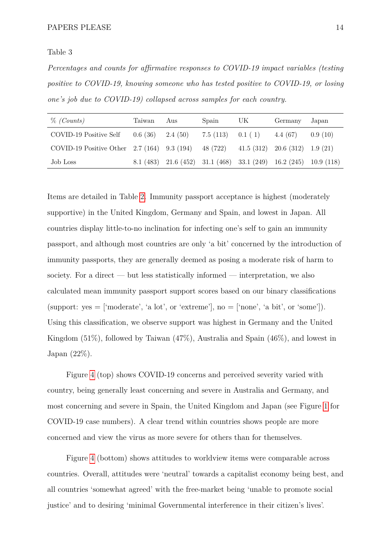#### <span id="page-13-0"></span>Table 3

*Percentages and counts for affirmative responses to COVID-19 impact variables (testing positive to COVID-19, knowing someone who has tested positive to COVID-19, or losing one's job due to COVID-19) collapsed across samples for each country.*

| $\%$ (Counts)                                                                       | Taiwan Aus | Spain                                             | UK. | Germany                                                          | Japan   |
|-------------------------------------------------------------------------------------|------------|---------------------------------------------------|-----|------------------------------------------------------------------|---------|
| COVID-19 Positive Self                                                              |            | $0.6(36)$ $2.4(50)$ $7.5(113)$ $0.1(1)$ $4.4(67)$ |     |                                                                  | 0.9(10) |
| COVID-19 Positive Other 2.7 (164) 9.3 (194) 48 (722) 41.5 (312) 20.6 (312) 1.9 (21) |            |                                                   |     |                                                                  |         |
| Job Loss                                                                            |            |                                                   |     | 8.1 (483) 21.6 (452) 31.1 (468) 33.1 (249) 16.2 (245) 10.9 (118) |         |

Items are detailed in Table [2.](#page-9-0) Immunity passport acceptance is highest (moderately supportive) in the United Kingdom, Germany and Spain, and lowest in Japan. All countries display little-to-no inclination for infecting one's self to gain an immunity passport, and although most countries are only 'a bit' concerned by the introduction of immunity passports, they are generally deemed as posing a moderate risk of harm to society. For a direct — but less statistically informed — interpretation, we also calculated mean immunity passport support scores based on our binary classifications (support:  $yes = 'moderate', 'a lot', or 'extreme'], no = ['none', 'a bit', or 'some']$ ). Using this classification, we observe support was highest in Germany and the United Kingdom (51%), followed by Taiwan (47%), Australia and Spain (46%), and lowest in Japan (22%).

Figure [4](#page-15-0) (top) shows COVID-19 concerns and perceived severity varied with country, being generally least concerning and severe in Australia and Germany, and most concerning and severe in Spain, the United Kingdom and Japan (see Figure [1](#page-6-0) for COVID-19 case numbers). A clear trend within countries shows people are more concerned and view the virus as more severe for others than for themselves.

Figure [4](#page-15-0) (bottom) shows attitudes to worldview items were comparable across countries. Overall, attitudes were 'neutral' towards a capitalist economy being best, and all countries 'somewhat agreed' with the free-market being 'unable to promote social justice' and to desiring 'minimal Governmental interference in their citizen's lives'.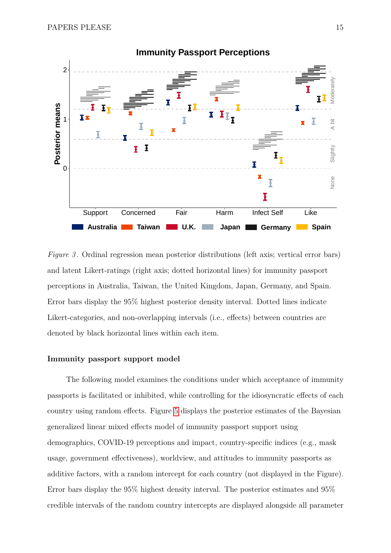<span id="page-14-0"></span>

*Figure 3*. Ordinal regression mean posterior distributions (left axis; vertical error bars) and latent Likert-ratings (right axis; dotted horizontal lines) for immunity passport perceptions in Australia, Taiwan, the United Kingdom, Japan, Germany, and Spain. Error bars display the 95% highest posterior density interval. Dotted lines indicate Likert-categories, and non-overlapping intervals (i.e., effects) between countries are denoted by black horizontal lines within each item.

#### **Immunity passport support model**

The following model examines the conditions under which acceptance of immunity passports is facilitated or inhibited, while controlling for the idiosyncratic effects of each country using random effects. Figure [5](#page-16-0) displays the posterior estimates of the Bayesian generalized linear mixed effects model of immunity passport support using demographics, COVID-19 perceptions and impact, country-specific indices (e.g., mask usage, government effectiveness), worldview, and attitudes to immunity passports as additive factors, with a random intercept for each country (not displayed in the Figure). Error bars display the 95% highest density interval. The posterior estimates and 95% credible intervals of the random country intercepts are displayed alongside all parameter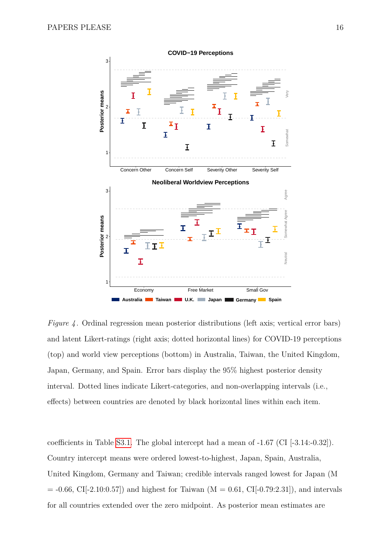<span id="page-15-0"></span>

*Figure 4*. Ordinal regression mean posterior distributions (left axis; vertical error bars) and latent Likert-ratings (right axis; dotted horizontal lines) for COVID-19 perceptions (top) and world view perceptions (bottom) in Australia, Taiwan, the United Kingdom, Japan, Germany, and Spain. Error bars display the 95% highest posterior density interval. Dotted lines indicate Likert-categories, and non-overlapping intervals (i.e., effects) between countries are denoted by black horizontal lines within each item.

coefficients in Table [S3.1.](#page-35-0) The global intercept had a mean of -1.67 (CI [-3.14:-0.32]). Country intercept means were ordered lowest-to-highest, Japan, Spain, Australia, United Kingdom, Germany and Taiwan; credible intervals ranged lowest for Japan (M  $= -0.66, \text{ CI}[-2.10:0.57]$  and highest for Taiwan (M = 0.61, CI[-0.79:2.31]), and intervals for all countries extended over the zero midpoint. As posterior mean estimates are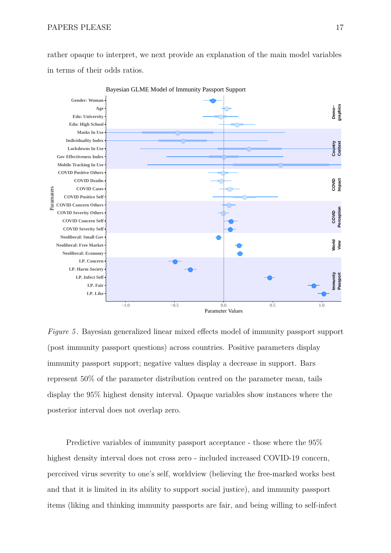rather opaque to interpret, we next provide an explanation of the main model variables in terms of their odds ratios.

<span id="page-16-0"></span>

Bayesian GLME Model of Immunity Passport Support

*Figure 5* . Bayesian generalized linear mixed effects model of immunity passport support (post immunity passport questions) across countries. Positive parameters display immunity passport support; negative values display a decrease in support. Bars represent 50% of the parameter distribution centred on the parameter mean, tails display the 95% highest density interval. Opaque variables show instances where the posterior interval does not overlap zero.

Predictive variables of immunity passport acceptance - those where the 95% highest density interval does not cross zero - included increased COVID-19 concern, perceived virus severity to one's self, worldview (believing the free-marked works best and that it is limited in its ability to support social justice), and immunity passport items (liking and thinking immunity passports are fair, and being willing to self-infect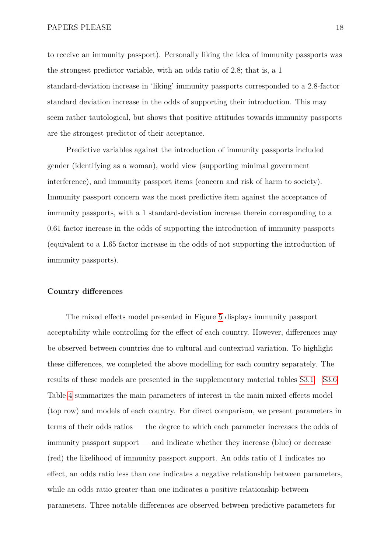to receive an immunity passport). Personally liking the idea of immunity passports was the strongest predictor variable, with an odds ratio of 2.8; that is, a 1 standard-deviation increase in 'liking' immunity passports corresponded to a 2.8-factor standard deviation increase in the odds of supporting their introduction. This may seem rather tautological, but shows that positive attitudes towards immunity passports are the strongest predictor of their acceptance.

Predictive variables against the introduction of immunity passports included gender (identifying as a woman), world view (supporting minimal government interference), and immunity passport items (concern and risk of harm to society). Immunity passport concern was the most predictive item against the acceptance of immunity passports, with a 1 standard-deviation increase therein corresponding to a 0.61 factor increase in the odds of supporting the introduction of immunity passports (equivalent to a 1.65 factor increase in the odds of not supporting the introduction of immunity passports).

### **Country differences**

The mixed effects model presented in Figure [5](#page-16-0) displays immunity passport acceptability while controlling for the effect of each country. However, differences may be observed between countries due to cultural and contextual variation. To highlight these differences, we completed the above modelling for each country separately. The results of these models are presented in the supplementary material tables [S3.1](#page-37-0) – [S3.6.](#page-42-0) Table [4](#page-18-0) summarizes the main parameters of interest in the main mixed effects model (top row) and models of each country. For direct comparison, we present parameters in terms of their odds ratios — the degree to which each parameter increases the odds of immunity passport support — and indicate whether they increase (blue) or decrease (red) the likelihood of immunity passport support. An odds ratio of 1 indicates no effect, an odds ratio less than one indicates a negative relationship between parameters, while an odds ratio greater-than one indicates a positive relationship between parameters. Three notable differences are observed between predictive parameters for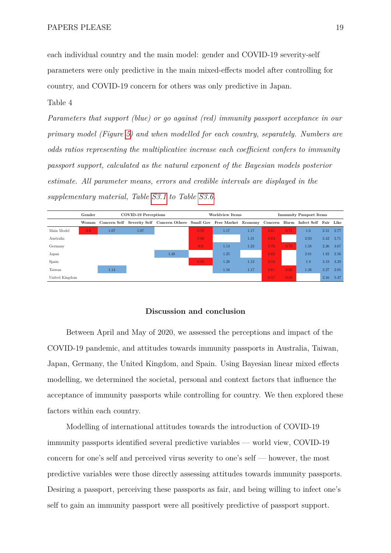each individual country and the main model: gender and COVID-19 severity-self parameters were only predictive in the main mixed-effects model after controlling for country, and COVID-19 concern for others was only predictive in Japan.

#### <span id="page-18-0"></span>Table 4

*Parameters that support (blue) or go against (red) immunity passport acceptance in our primary model (Figure [5\)](#page-16-0) and when modelled for each country, separately. Numbers are odds ratios representing the multiplicative increase each coefficient confers to immunity passport support, calculated as the natural exponent of the Bayesian models posterior estimate. All parameter means, errors and credible intervals are displayed in the supplementary material, Table [S3.1](#page-37-0) to Table [S3.6.](#page-42-0)*



#### **Discussion and conclusion**

Between April and May of 2020, we assessed the perceptions and impact of the COVID-19 pandemic, and attitudes towards immunity passports in Australia, Taiwan, Japan, Germany, the United Kingdom, and Spain. Using Bayesian linear mixed effects modelling, we determined the societal, personal and context factors that influence the acceptance of immunity passports while controlling for country. We then explored these factors within each country.

Modelling of international attitudes towards the introduction of COVID-19 immunity passports identified several predictive variables — world view, COVID-19 concern for one's self and perceived virus severity to one's self — however, the most predictive variables were those directly assessing attitudes towards immunity passports. Desiring a passport, perceiving these passports as fair, and being willing to infect one's self to gain an immunity passport were all positively predictive of passport support.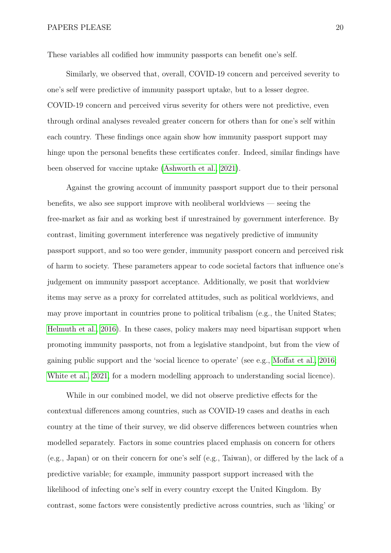These variables all codified how immunity passports can benefit one's self.

Similarly, we observed that, overall, COVID-19 concern and perceived severity to one's self were predictive of immunity passport uptake, but to a lesser degree. COVID-19 concern and perceived virus severity for others were not predictive, even through ordinal analyses revealed greater concern for others than for one's self within each country. These findings once again show how immunity passport support may hinge upon the personal benefits these certificates confer. Indeed, similar findings have been observed for vaccine uptake [\(Ashworth et al., 2021\)](#page-24-8).

Against the growing account of immunity passport support due to their personal benefits, we also see support improve with neoliberal worldviews — seeing the free-market as fair and as working best if unrestrained by government interference. By contrast, limiting government interference was negatively predictive of immunity passport support, and so too were gender, immunity passport concern and perceived risk of harm to society. These parameters appear to code societal factors that influence one's judgement on immunity passport acceptance. Additionally, we posit that worldview items may serve as a proxy for correlated attitudes, such as political worldviews, and may prove important in countries prone to political tribalism (e.g., the United States; [Helmuth et al., 2016\)](#page-25-7). In these cases, policy makers may need bipartisan support when promoting immunity passports, not from a legislative standpoint, but from the view of gaining public support and the 'social licence to operate' (see e.g., [Moffat et al., 2016;](#page-26-9) [White et al., 2021,](#page-27-8) for a modern modelling approach to understanding social licence).

While in our combined model, we did not observe predictive effects for the contextual differences among countries, such as COVID-19 cases and deaths in each country at the time of their survey, we did observe differences between countries when modelled separately. Factors in some countries placed emphasis on concern for others (e.g., Japan) or on their concern for one's self (e.g., Taiwan), or differed by the lack of a predictive variable; for example, immunity passport support increased with the likelihood of infecting one's self in every country except the United Kingdom. By contrast, some factors were consistently predictive across countries, such as 'liking' or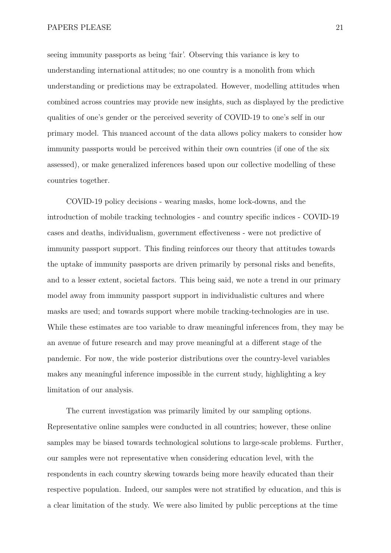seeing immunity passports as being 'fair'. Observing this variance is key to understanding international attitudes; no one country is a monolith from which understanding or predictions may be extrapolated. However, modelling attitudes when combined across countries may provide new insights, such as displayed by the predictive qualities of one's gender or the perceived severity of COVID-19 to one's self in our primary model. This nuanced account of the data allows policy makers to consider how immunity passports would be perceived within their own countries (if one of the six assessed), or make generalized inferences based upon our collective modelling of these countries together.

COVID-19 policy decisions - wearing masks, home lock-downs, and the introduction of mobile tracking technologies - and country specific indices - COVID-19 cases and deaths, individualism, government effectiveness - were not predictive of immunity passport support. This finding reinforces our theory that attitudes towards the uptake of immunity passports are driven primarily by personal risks and benefits, and to a lesser extent, societal factors. This being said, we note a trend in our primary model away from immunity passport support in individualistic cultures and where masks are used; and towards support where mobile tracking-technologies are in use. While these estimates are too variable to draw meaningful inferences from, they may be an avenue of future research and may prove meaningful at a different stage of the pandemic. For now, the wide posterior distributions over the country-level variables makes any meaningful inference impossible in the current study, highlighting a key limitation of our analysis.

The current investigation was primarily limited by our sampling options. Representative online samples were conducted in all countries; however, these online samples may be biased towards technological solutions to large-scale problems. Further, our samples were not representative when considering education level, with the respondents in each country skewing towards being more heavily educated than their respective population. Indeed, our samples were not stratified by education, and this is a clear limitation of the study. We were also limited by public perceptions at the time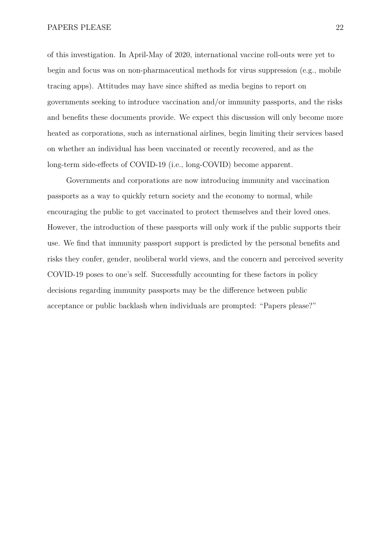of this investigation. In April-May of 2020, international vaccine roll-outs were yet to begin and focus was on non-pharmaceutical methods for virus suppression (e.g., mobile tracing apps). Attitudes may have since shifted as media begins to report on governments seeking to introduce vaccination and/or immunity passports, and the risks and benefits these documents provide. We expect this discussion will only become more heated as corporations, such as international airlines, begin limiting their services based on whether an individual has been vaccinated or recently recovered, and as the long-term side-effects of COVID-19 (i.e., long-COVID) become apparent.

Governments and corporations are now introducing immunity and vaccination passports as a way to quickly return society and the economy to normal, while encouraging the public to get vaccinated to protect themselves and their loved ones. However, the introduction of these passports will only work if the public supports their use. We find that immunity passport support is predicted by the personal benefits and risks they confer, gender, neoliberal world views, and the concern and perceived severity COVID-19 poses to one's self. Successfully accounting for these factors in policy decisions regarding immunity passports may be the difference between public acceptance or public backlash when individuals are prompted: "Papers please?"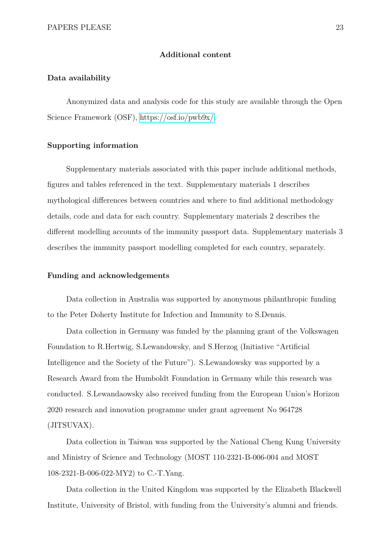#### **Additional content**

### **Data availability**

Anonymized data and analysis code for this study are available through the Open Science Framework (OSF), [https://osf.io/pwb9x/.](https://osf.io/pwb9x/)

#### **Supporting information**

Supplementary materials associated with this paper include additional methods, figures and tables referenced in the text. Supplementary materials 1 describes mythological differences between countries and where to find additional methodology details, code and data for each country. Supplementary materials 2 describes the different modelling accounts of the immunity passport data. Supplementary materials 3 describes the immunity passport modelling completed for each country, separately.

#### **Funding and acknowledgements**

Data collection in Australia was supported by anonymous philanthropic funding to the Peter Doherty Institute for Infection and Immunity to S.Dennis.

Data collection in Germany was funded by the planning grant of the Volkswagen Foundation to R.Hertwig, S.Lewandowsky, and S.Herzog (Initiative "Artificial Intelligence and the Society of the Future"). S.Lewandowsky was supported by a Research Award from the Humboldt Foundation in Germany while this research was conducted. S.Lewandaowsky also received funding from the European Union's Horizon 2020 research and innovation programme under grant agreement No 964728 (JITSUVAX).

Data collection in Taiwan was supported by the National Cheng Kung University and Ministry of Science and Technology (MOST 110-2321-B-006-004 and MOST 108-2321-B-006-022-MY2) to C.-T.Yang.

Data collection in the United Kingdom was supported by the Elizabeth Blackwell Institute, University of Bristol, with funding from the University's alumni and friends.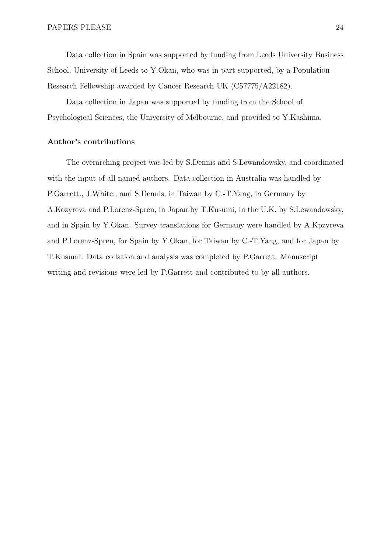Data collection in Spain was supported by funding from Leeds University Business School, University of Leeds to Y.Okan, who was in part supported, by a Population Research Fellowship awarded by Cancer Research UK (C57775/A22182).

Data collection in Japan was supported by funding from the School of Psychological Sciences, the University of Melbourne, and provided to Y.Kashima.

#### **Author's contributions**

The overarching project was led by S.Dennis and S.Lewandowsky, and coordinated with the input of all named authors. Data collection in Australia was handled by P.Garrett., J.White., and S.Dennis, in Taiwan by C.-T.Yang, in Germany by A.Kozyreva and P.Lorenz-Spren, in Japan by T.Kusumi, in the U.K. by S.Lewandowsky, and in Spain by Y.Okan. Survey translations for Germany were handled by A.Kpzyreva and P.Lorenz-Spren, for Spain by Y.Okan, for Taiwan by C.-T.Yang, and for Japan by T.Kusumi. Data collation and analysis was completed by P.Garrett. Manuscript writing and revisions were led by P.Garrett and contributed to by all authors.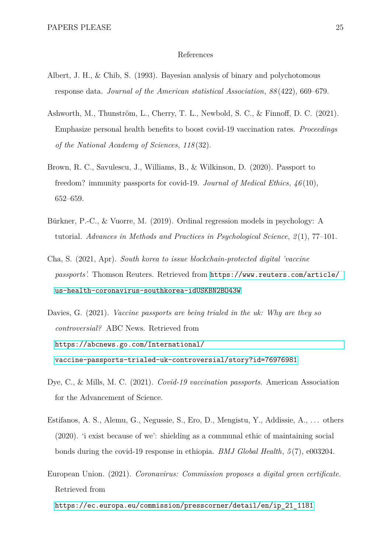#### References

- <span id="page-24-6"></span>Albert, J. H., & Chib, S. (1993). Bayesian analysis of binary and polychotomous response data. *Journal of the American statistical Association*, *88* (422), 669–679.
- <span id="page-24-8"></span>Ashworth, M., Thunström, L., Cherry, T. L., Newbold, S. C., & Finnoff, D. C. (2021). Emphasize personal health benefits to boost covid-19 vaccination rates. *Proceedings of the National Academy of Sciences*, *118* (32).
- <span id="page-24-2"></span>Brown, R. C., Savulescu, J., Williams, B., & Wilkinson, D. (2020). Passport to freedom? immunity passports for covid-19. *Journal of Medical Ethics*, *46* (10), 652–659.
- <span id="page-24-7"></span>Bürkner, P.-C., & Vuorre, M. (2019). Ordinal regression models in psychology: A tutorial. *Advances in Methods and Practices in Psychological Science*, *2* (1), 77–101.
- <span id="page-24-0"></span>Cha, S. (2021, Apr). *South korea to issue blockchain-protected digital 'vaccine passports'.* Thomson Reuters. Retrieved from [https://www.reuters.com/article/](https://www.reuters.com/article/us-health-coronavirus-southkorea-idUSKBN2BO43W) [us-health-coronavirus-southkorea-idUSKBN2BO43W](https://www.reuters.com/article/us-health-coronavirus-southkorea-idUSKBN2BO43W)
- <span id="page-24-4"></span>Davies, G. (2021). *Vaccine passports are being trialed in the uk: Why are they so controversial?* ABC News. Retrieved from [https://abcnews.go.com/International/](https://abcnews.go.com/International/vaccine-passports-trialed-uk-controversial/story?id=76976981) [vaccine-passports-trialed-uk-controversial/story?id=76976981](https://abcnews.go.com/International/vaccine-passports-trialed-uk-controversial/story?id=76976981)
- <span id="page-24-3"></span>Dye, C., & Mills, M. C. (2021). *Covid-19 vaccination passports.* American Association for the Advancement of Science.
- <span id="page-24-5"></span>Estifanos, A. S., Alemu, G., Negussie, S., Ero, D., Mengistu, Y., Addissie, A., . . . others (2020). 'i exist because of we': shielding as a communal ethic of maintaining social bonds during the covid-19 response in ethiopia. *BMJ Global Health*, *5* (7), e003204.
- <span id="page-24-1"></span>European Union. (2021). *Coronavirus: Commission proposes a digital green certificate.* Retrieved from

[https://ec.europa.eu/commission/presscorner/detail/en/ip\\_21\\_1181](https://ec.europa.eu/commission/presscorner/detail/en/ip_21_1181)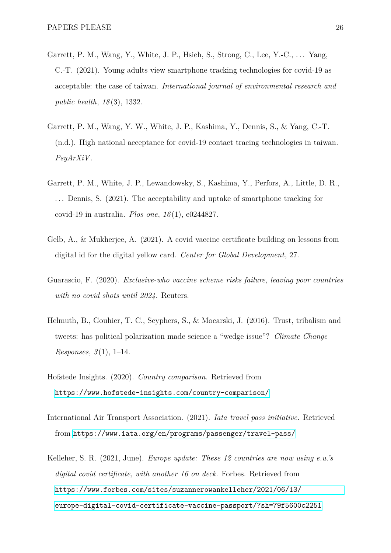- <span id="page-25-5"></span>Garrett, P. M., Wang, Y., White, J. P., Hsieh, S., Strong, C., Lee, Y.-C., . . . Yang, C.-T. (2021). Young adults view smartphone tracking technologies for covid-19 as acceptable: the case of taiwan. *International journal of environmental research and public health*, *18* (3), 1332.
- <span id="page-25-8"></span>Garrett, P. M., Wang, Y. W., White, J. P., Kashima, Y., Dennis, S., & Yang, C.-T. (n.d.). High national acceptance for covid-19 contact tracing technologies in taiwan. *PsyArXiV* .
- <span id="page-25-4"></span>Garrett, P. M., White, J. P., Lewandowsky, S., Kashima, Y., Perfors, A., Little, D. R., . . . Dennis, S. (2021). The acceptability and uptake of smartphone tracking for covid-19 in australia. *Plos one*, *16* (1), e0244827.
- <span id="page-25-3"></span>Gelb, A., & Mukherjee, A. (2021). A covid vaccine certificate building on lessons from digital id for the digital yellow card. *Center for Global Development*, 27.
- <span id="page-25-1"></span>Guarascio, F. (2020). *Exclusive-who vaccine scheme risks failure, leaving poor countries with no covid shots until 2024.* Reuters.
- <span id="page-25-7"></span>Helmuth, B., Gouhier, T. C., Scyphers, S., & Mocarski, J. (2016). Trust, tribalism and tweets: has political polarization made science a "wedge issue"? *Climate Change Responses*, *3* (1), 1–14.
- <span id="page-25-6"></span>Hofstede Insights. (2020). *Country comparison.* Retrieved from <https://www.hofstede-insights.com/country-comparison/>
- <span id="page-25-2"></span>International Air Transport Association. (2021). *Iata travel pass initiative.* Retrieved from <https://www.iata.org/en/programs/passenger/travel-pass/>
- <span id="page-25-0"></span>Kelleher, S. R. (2021, June). *Europe update: These 12 countries are now using e.u.'s digital covid certificate, with another 16 on deck.* Forbes. Retrieved from [https://www.forbes.com/sites/suzannerowankelleher/2021/06/13/](https://www.forbes.com/sites/suzannerowankelleher/2021/06/13/europe-digital-covid-certificate-vaccine-passport/?sh=79f5600c2251) [europe-digital-covid-certificate-vaccine-passport/?sh=79f5600c2251](https://www.forbes.com/sites/suzannerowankelleher/2021/06/13/europe-digital-covid-certificate-vaccine-passport/?sh=79f5600c2251)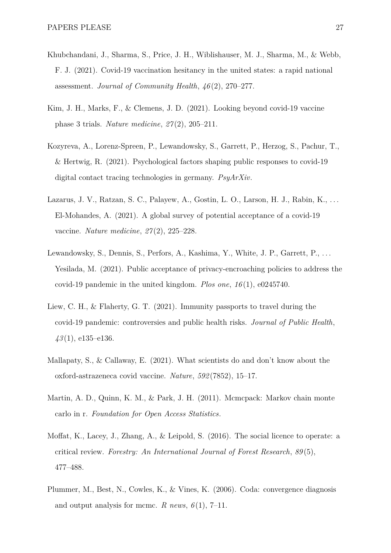- <span id="page-26-5"></span>Khubchandani, J., Sharma, S., Price, J. H., Wiblishauser, M. J., Sharma, M., & Webb, F. J. (2021). Covid-19 vaccination hesitancy in the united states: a rapid national assessment. *Journal of Community Health*, *46* (2), 270–277.
- <span id="page-26-1"></span>Kim, J. H., Marks, F., & Clemens, J. D. (2021). Looking beyond covid-19 vaccine phase 3 trials. *Nature medicine*, *27* (2), 205–211.
- <span id="page-26-6"></span>Kozyreva, A., Lorenz-Spreen, P., Lewandowsky, S., Garrett, P., Herzog, S., Pachur, T., & Hertwig, R. (2021). Psychological factors shaping public responses to covid-19 digital contact tracing technologies in germany. *PsyArXiv*.
- <span id="page-26-4"></span>Lazarus, J. V., Ratzan, S. C., Palayew, A., Gostin, L. O., Larson, H. J., Rabin, K., . . . El-Mohandes, A. (2021). A global survey of potential acceptance of a covid-19 vaccine. *Nature medicine*, *27* (2), 225–228.
- <span id="page-26-3"></span>Lewandowsky, S., Dennis, S., Perfors, A., Kashima, Y., White, J. P., Garrett, P., . . . Yesilada, M. (2021). Public acceptance of privacy-encroaching policies to address the covid-19 pandemic in the united kingdom. *Plos one*, *16* (1), e0245740.
- <span id="page-26-2"></span>Liew, C. H., & Flaherty, G. T. (2021). Immunity passports to travel during the covid-19 pandemic: controversies and public health risks. *Journal of Public Health*, *43* (1), e135–e136.
- <span id="page-26-0"></span>Mallapaty, S., & Callaway, E. (2021). What scientists do and don't know about the oxford-astrazeneca covid vaccine. *Nature*, *592* (7852), 15–17.
- <span id="page-26-7"></span>Martin, A. D., Quinn, K. M., & Park, J. H. (2011). Mcmcpack: Markov chain monte carlo in r. *Foundation for Open Access Statistics*.
- <span id="page-26-9"></span>Moffat, K., Lacey, J., Zhang, A., & Leipold, S. (2016). The social licence to operate: a critical review. *Forestry: An International Journal of Forest Research*, *89* (5), 477–488.
- <span id="page-26-8"></span>Plummer, M., Best, N., Cowles, K., & Vines, K. (2006). Coda: convergence diagnosis and output analysis for mcmc. *R* news,  $6(1)$ , 7–11.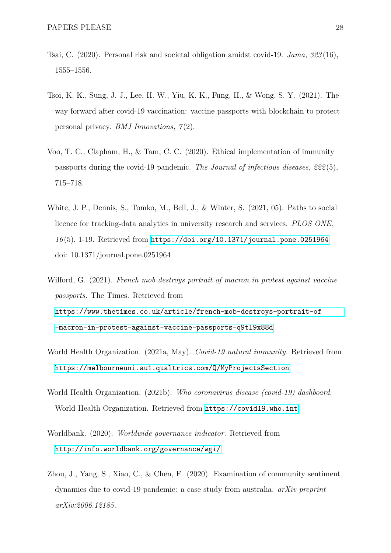- <span id="page-27-5"></span>Tsai, C. (2020). Personal risk and societal obligation amidst covid-19. *Jama*, *323* (16), 1555–1556.
- <span id="page-27-2"></span>Tsoi, K. K., Sung, J. J., Lee, H. W., Yiu, K. K., Fung, H., & Wong, S. Y. (2021). The way forward after covid-19 vaccination: vaccine passports with blockchain to protect personal privacy. *BMJ Innovations*, *7* (2).
- <span id="page-27-3"></span>Voo, T. C., Clapham, H., & Tam, C. C. (2020). Ethical implementation of immunity passports during the covid-19 pandemic. *The Journal of infectious diseases*, *222* (5), 715–718.
- <span id="page-27-8"></span>White, J. P., Dennis, S., Tomko, M., Bell, J., & Winter, S. (2021, 05). Paths to social licence for tracking-data analytics in university research and services. *PLOS ONE*, *16* (5), 1-19. Retrieved from <https://doi.org/10.1371/journal.pone.0251964> doi: 10.1371/journal.pone.0251964
- <span id="page-27-4"></span>Wilford, G. (2021). *French mob destroys portrait of macron in protest against vaccine passports.* The Times. Retrieved from [https://www.thetimes.co.uk/article/french-mob-destroys-portrait-of](https://www.thetimes.co.uk/article/french-mob-destroys-portrait-of-macron-in-protest-against-vaccine-passports-q9tl9x88d) [-macron-in-protest-against-vaccine-passports-q9tl9x88d](https://www.thetimes.co.uk/article/french-mob-destroys-portrait-of-macron-in-protest-against-vaccine-passports-q9tl9x88d)
- <span id="page-27-1"></span>World Health Organization. (2021a, May). *Covid-19 natural immunity.* Retrieved from <https://melbourneuni.au1.qualtrics.com/Q/MyProjectsSection>
- <span id="page-27-0"></span>World Health Organization. (2021b). *Who coronavirus disease (covid-19) dashboard.* World Health Organization. Retrieved from <https://covid19.who.int>
- <span id="page-27-7"></span>Worldbank. (2020). *Worldwide governance indicator.* Retrieved from <http://info.worldbank.org/governance/wgi/>
- <span id="page-27-6"></span>Zhou, J., Yang, S., Xiao, C., & Chen, F. (2020). Examination of community sentiment dynamics due to covid-19 pandemic: a case study from australia. *arXiv preprint arXiv:2006.12185* .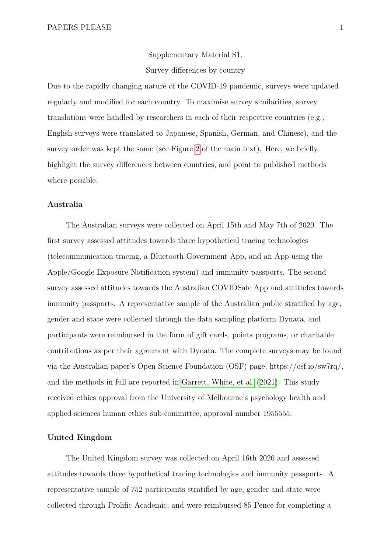Supplementary Material S1. Survey differences by country

Due to the rapidly changing nature of the COVID-19 pandemic, surveys were updated regularly and modified for each country. To maximise survey similarities, survey translations were handled by researchers in each of their respective countries (e.g., English surveys were translated to Japanese, Spanish, German, and Chinese), and the survey order was kept the same (see Figure [2](#page-8-0) of the main text). Here, we briefly highlight the survey differences between countries, and point to published methods where possible.

### **Australia**

The Australian surveys were collected on April 15th and May 7th of 2020. The first survey assessed attitudes towards three hypothetical tracing technologies (telecommunication tracing, a Bluetooth Government App, and an App using the Apple/Google Exposure Notification system) and immunity passports. The second survey assessed attitudes towards the Australian COVIDSafe App and attitudes towards immunity passports. A representative sample of the Australian public stratified by age, gender and state were collected through the data sampling platform Dynata, and participants were reimbursed in the form of gift cards, points programs, or charitable contributions as per their agreement with Dynata. The complete surveys may be found via the Australian paper's Open Science Foundation (OSF) page, https://osf.io/sw7rq/, and the methods in full are reported in [Garrett, White, et al.](#page-25-4) [\(2021\)](#page-25-4). This study received ethics approval from the University of Melbourne's psychology health and applied sciences human ethics sub-committee, approval number 1955555.

#### **United Kingdom**

The United Kingdom survey was collected on April 16th 2020 and assessed attitudes towards three hypothetical tracing technologies and immunity passports. A representative sample of 752 participants stratified by age, gender and state were collected through Prolific Academic, and were reimbursed 85 Pence for completing a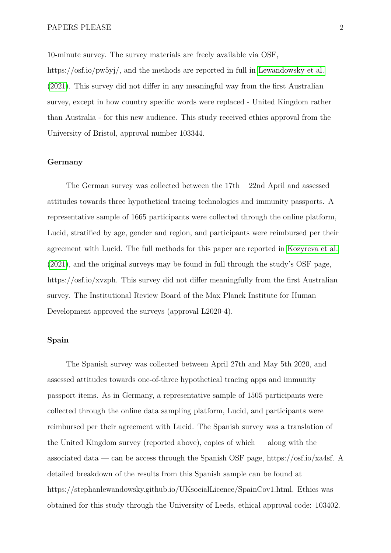10-minute survey. The survey materials are freely available via OSF, https://osf.io/pw5yj/, and the methods are reported in full in [Lewandowsky et al.](#page-26-3) [\(2021\)](#page-26-3). This survey did not differ in any meaningful way from the first Australian survey, except in how country specific words were replaced - United Kingdom rather than Australia - for this new audience. This study received ethics approval from the University of Bristol, approval number 103344.

#### **Germany**

The German survey was collected between the  $17th - 22nd$  April and assessed attitudes towards three hypothetical tracing technologies and immunity passports. A representative sample of 1665 participants were collected through the online platform, Lucid, stratified by age, gender and region, and participants were reimbursed per their agreement with Lucid. The full methods for this paper are reported in [Kozyreva et al.](#page-26-6) [\(2021\)](#page-26-6), and the original surveys may be found in full through the study's OSF page, https://osf.io/xvzph. This survey did not differ meaningfully from the first Australian survey. The Institutional Review Board of the Max Planck Institute for Human Development approved the surveys (approval L2020-4).

### **Spain**

The Spanish survey was collected between April 27th and May 5th 2020, and assessed attitudes towards one-of-three hypothetical tracing apps and immunity passport items. As in Germany, a representative sample of 1505 participants were collected through the online data sampling platform, Lucid, and participants were reimbursed per their agreement with Lucid. The Spanish survey was a translation of the United Kingdom survey (reported above), copies of which — along with the associated data — can be access through the Spanish OSF page, https://osf.io/xa4sf. A detailed breakdown of the results from this Spanish sample can be found at https://stephanlewandowsky.github.io/UKsocialLicence/SpainCov1.html. Ethics was obtained for this study through the University of Leeds, ethical approval code: 103402.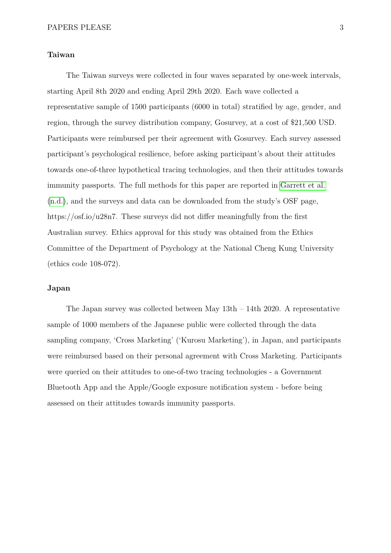### **Taiwan**

The Taiwan surveys were collected in four waves separated by one-week intervals, starting April 8th 2020 and ending April 29th 2020. Each wave collected a representative sample of 1500 participants (6000 in total) stratified by age, gender, and region, through the survey distribution company, Gosurvey, at a cost of \$21,500 USD. Participants were reimbursed per their agreement with Gosurvey. Each survey assessed participant's psychological resilience, before asking participant's about their attitudes towards one-of-three hypothetical tracing technologies, and then their attitudes towards immunity passports. The full methods for this paper are reported in [Garrett et al.](#page-25-8) [\(n.d.\)](#page-25-8), and the surveys and data can be downloaded from the study's OSF page, https://osf.io/u28n7. These surveys did not differ meaningfully from the first Australian survey. Ethics approval for this study was obtained from the Ethics Committee of the Department of Psychology at the National Cheng Kung University (ethics code 108-072).

#### **Japan**

The Japan survey was collected between May  $13th - 14th$  2020. A representative sample of 1000 members of the Japanese public were collected through the data sampling company, 'Cross Marketing' ('Kurosu Marketing'), in Japan, and participants were reimbursed based on their personal agreement with Cross Marketing. Participants were queried on their attitudes to one-of-two tracing technologies - a Government Bluetooth App and the Apple/Google exposure notification system - before being assessed on their attitudes towards immunity passports.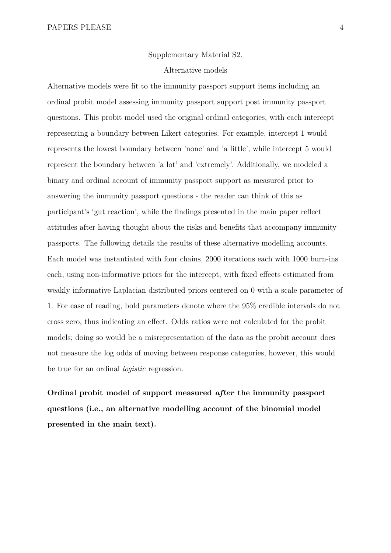#### Supplementary Material S2.

#### Alternative models

Alternative models were fit to the immunity passport support items including an ordinal probit model assessing immunity passport support post immunity passport questions. This probit model used the original ordinal categories, with each intercept representing a boundary between Likert categories. For example, intercept 1 would represents the lowest boundary between 'none' and 'a little', while intercept 5 would represent the boundary between 'a lot' and 'extremely'. Additionally, we modeled a binary and ordinal account of immunity passport support as measured prior to answering the immunity passport questions - the reader can think of this as participant's 'gut reaction', while the findings presented in the main paper reflect attitudes after having thought about the risks and benefits that accompany immunity passports. The following details the results of these alternative modelling accounts. Each model was instantiated with four chains, 2000 iterations each with 1000 burn-ins each, using non-informative priors for the intercept, with fixed effects estimated from weakly informative Laplacian distributed priors centered on 0 with a scale parameter of 1. For ease of reading, bold parameters denote where the 95% credible intervals do not cross zero, thus indicating an effect. Odds ratios were not calculated for the probit models; doing so would be a misrepresentation of the data as the probit account does not measure the log odds of moving between response categories, however, this would be true for an ordinal *logistic* regression.

**Ordinal probit model of support measured** *after* **the immunity passport questions (i.e., an alternative modelling account of the binomial model presented in the main text).**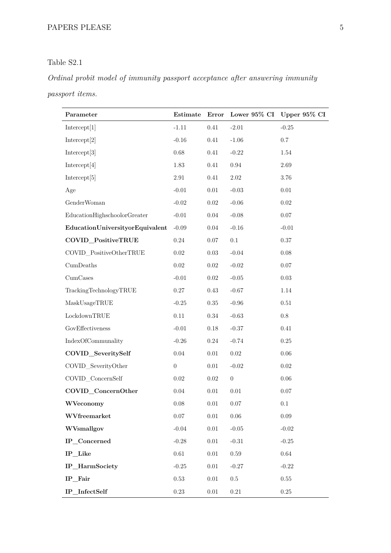# <span id="page-32-0"></span>Table S2.1

# *Ordinal probit model of immunity passport acceptance after answering immunity passport items.*

| Parameter                       | Estimate         | Error    |                  | Lower 95% CI Upper 95% CI |
|---------------------------------|------------------|----------|------------------|---------------------------|
| Intercept[1]                    | $-1.11$          | 0.41     | $-2.01$          | $-0.25$                   |
| Intercept[2]                    | $-0.16$          | 0.41     | $-1.06$          | 0.7                       |
| Intercept[3]                    | 0.68             | 0.41     | $-0.22$          | $1.54\,$                  |
| Intercept[4]                    | 1.83             | 0.41     | $\rm 0.94$       | 2.69                      |
| Intercept[5]                    | $2.91\,$         | 0.41     | $2.02\,$         | 3.76                      |
| Age                             | $-0.01$          | $0.01\,$ | $-0.03$          | $0.01\,$                  |
| GenderWoman                     | $-0.02$          | $0.02\,$ | $-0.06$          | $0.02\,$                  |
| EducationHighschoolorGreater    | $-0.01$          | $0.04\,$ | $-0.08$          | $0.07\,$                  |
| EducationUniversityorEquivalent | $-0.09$          | $0.04\,$ | $-0.16$          | $-0.01$                   |
| COVID_PositiveTRUE              | $0.24\,$         | $0.07\,$ | $0.1\,$          | $0.37\,$                  |
| COVID_PositiveOtherTRUE         | $0.02\,$         | $0.03\,$ | $-0.04$          | $0.08\,$                  |
| $Cum\newline$                   | $0.02\,$         | $0.02\,$ | $-0.02$          | $0.07\,$                  |
| $Cum\mathsf{Ca}\mathsf{ses}$    | $-0.01$          | $0.02\,$ | $-0.05$          | $0.03\,$                  |
| TrackingTechnologyTRUE          | $0.27\,$         | $0.43\,$ | $-0.67$          | 1.14                      |
| MaskUsageTRUE                   | $-0.25$          | $0.35\,$ | $-0.96$          | $0.51\,$                  |
| LockdownTRUE                    | $0.11\,$         | $0.34\,$ | $-0.63$          | $0.8\,$                   |
| GovEffectiveness                | $-0.01$          | $0.18\,$ | $-0.37$          | 0.41                      |
| IndexOfCommunality              | $-0.26$          | $0.24\,$ | $-0.74$          | $0.25\,$                  |
| COVID_SeveritySelf              | $0.04\,$         | $0.01\,$ | $0.02\,$         | $0.06\,$                  |
| COVID SeverityOther             | $\boldsymbol{0}$ | 0.01     | $-0.02$          | $0.02\,$                  |
| COVID_ConcernSelf               | $0.02\,$         | $0.02\,$ | $\boldsymbol{0}$ | 0.06                      |
| COVID_ConcernOther              | 0.04             | $0.01\,$ | $0.01\,$         | $0.07\,$                  |
| WVeconomy                       | $0.08\,$         | $0.01\,$ | $0.07\,$         | $0.1\,$                   |
| WVfreemarket                    | $0.07\,$         | $0.01\,$ | $0.06\,$         | $0.09\,$                  |
| WVsmallgov                      | $-0.04$          | $0.01\,$ | $-0.05$          | $-0.02$                   |
| IP_Concerned                    | $-0.28$          | $0.01\,$ | $-0.31$          | $-0.25$                   |
| IP_Like                         | 0.61             | $0.01\,$ | $0.59\,$         | 0.64                      |
| IP_HarmSociety                  | $-0.25$          | $0.01\,$ | $-0.27$          | $-0.22$                   |
| IP_Fair                         | 0.53             | $0.01\,$ | $0.5\,$          | $0.55\,$                  |
| IP_InfectSelf                   | $0.23\,$         | $0.01\,$ | $0.21\,$         | $0.25\,$                  |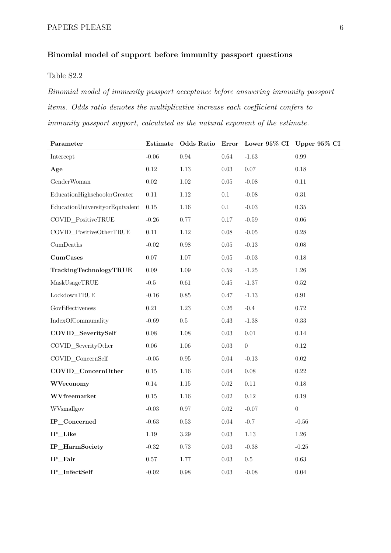# **Binomial model of support before immunity passport questions**

# <span id="page-33-0"></span>Table S2.2

*Binomial model of immunity passport acceptance before answering immunity passport items. Odds ratio denotes the multiplicative increase each coefficient confers to immunity passport support, calculated as the natural exponent of the estimate.*

| Parameter                       | Estimate | <b>Odds Ratio</b> | Error    |                  | Lower 95% CI Upper 95% CI |
|---------------------------------|----------|-------------------|----------|------------------|---------------------------|
| Intercept                       | $-0.06$  | 0.94              | 0.64     | $-1.63$          | 0.99                      |
| Age                             | $0.12\,$ | 1.13              | $0.03\,$ | $0.07\,$         | 0.18                      |
| GenderWoman                     | $0.02\,$ | $1.02\,$          | $0.05\,$ | $-0.08$          | $0.11\,$                  |
| EducationHighschoolorGreater    | 0.11     | 1.12              | 0.1      | $-0.08$          | 0.31                      |
| EducationUniversityorEquivalent | $0.15\,$ | 1.16              | $0.1\,$  | $-0.03$          | 0.35                      |
| COVID_PositiveTRUE              | $-0.26$  | 0.77              | 0.17     | $-0.59$          | 0.06                      |
| COVID_PositiveOtherTRUE         | $0.11\,$ | 1.12              | 0.08     | $-0.05$          | $0.28\,$                  |
| CumDeaths                       | $-0.02$  | 0.98              | $0.05\,$ | $-0.13$          | $0.08\,$                  |
| $Cum\mathbf{C}$ ases            | 0.07     | 1.07              | $0.05\,$ | $-0.03$          | 0.18                      |
| TrackingTechnologyTRUE          | 0.09     | 1.09              | $0.59\,$ | $-1.25$          | $1.26\,$                  |
| MaskUsageTRUE                   | $-0.5$   | $0.61\,$          | $0.45\,$ | $-1.37$          | 0.52                      |
| LockdownTRUE                    | $-0.16$  | 0.85              | 0.47     | $-1.13$          | $\rm 0.91$                |
| GovEffectiveness                | $0.21\,$ | 1.23              | $0.26\,$ | $-0.4$           | 0.72                      |
| IndexOfCommunality              | $-0.69$  | $0.5\,$           | 0.43     | $-1.38$          | 0.33                      |
| COVID_SeveritySelf              | 0.08     | 1.08              | 0.03     | 0.01             | 0.14                      |
| COVID_SeverityOther             | $0.06\,$ | 1.06              | $0.03\,$ | $\boldsymbol{0}$ | $0.12\,$                  |
| COVID_ConcernSelf               | $-0.05$  | 0.95              | 0.04     | $-0.13$          | 0.02                      |
| COVID_ConcernOther              | $0.15\,$ | 1.16              | $0.04\,$ | 0.08             | $0.22\,$                  |
| WVeconomy                       | 0.14     | 1.15              | $0.02\,$ | $0.11\,$         | $0.18\,$                  |
| WVfreemarket                    | $0.15\,$ | 1.16              | $0.02\,$ | 0.12             | 0.19                      |
| WVsmallgov                      | $-0.03$  | 0.97              | $0.02\,$ | $-0.07$          | $\boldsymbol{0}$          |
| IP_Concerned                    | $-0.63$  | 0.53              | 0.04     | $-0.7$           | $-0.56$                   |
| IP_Like                         | 1.19     | 3.29              | $0.03\,$ | $1.13\,$         | $1.26\,$                  |
| IP_HarmSociety                  | $-0.32$  | 0.73              | 0.03     | $-0.38$          | $-0.25$                   |
| IP_Fair                         | 0.57     | 1.77              | 0.03     | 0.5              | 0.63                      |
| IP_InfectSelf                   | $-0.02$  | 0.98              | 0.03     | $-0.08$          | 0.04                      |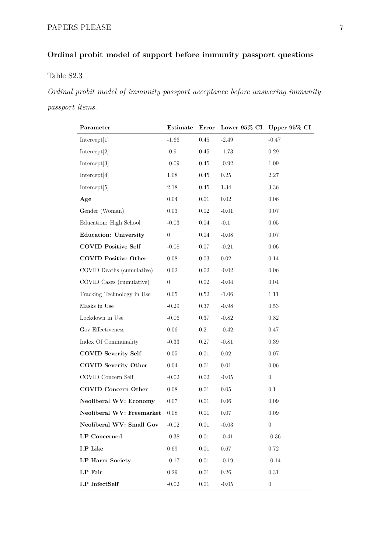# **Ordinal probit model of support before immunity passport questions**

# <span id="page-34-0"></span>Table S2.3

*Ordinal probit model of immunity passport acceptance before answering immunity passport items.*

| Parameter                      | Estimate       |          |          | Error Lower 95% CI Upper 95% CI |
|--------------------------------|----------------|----------|----------|---------------------------------|
| Intercept[1]                   | $-1.66$        | 0.45     | $-2.49$  | $-0.47$                         |
| Intercept[2]                   | $-0.9$         | 0.45     | $-1.73$  | 0.29                            |
| Intercept <sup>[3]</sup>       | $-0.09$        | 0.45     | $-0.92$  | 1.09                            |
| Intercept[4]                   | 1.08           | 0.45     | 0.25     | 2.27                            |
| Intercept[5]                   | 2.18           | $0.45\,$ | 1.34     | 3.36                            |
| Age                            | 0.04           | 0.01     | 0.02     | $0.06\,$                        |
| Gender (Woman)                 | 0.03           | $0.02\,$ | $-0.01$  | 0.07                            |
| Education: High School         | $-0.03$        | 0.04     | $-0.1$   | 0.05                            |
| Education: University          | $\overline{0}$ | 0.04     | $-0.08$  | 0.07                            |
| <b>COVID Positive Self</b>     | $-0.08$        | 0.07     | $-0.21$  | 0.06                            |
| <b>COVID Positive Other</b>    | 0.08           | 0.03     | 0.02     | 0.14                            |
| COVID Deaths (cumulative)      | 0.02           | 0.02     | $-0.02$  | 0.06                            |
| COVID Cases (cumulative)       | $\overline{0}$ | $0.02\,$ | $-0.04$  | 0.04                            |
| Tracking Technology in Use     | 0.05           | 0.52     | $-1.06$  | 1.11                            |
| Masks in Use                   | $-0.29$        | 0.37     | $-0.98$  | $0.53\,$                        |
| Lockdown in Use                | $-0.06$        | 0.37     | $-0.82$  | 0.82                            |
| Gov Effectiveness              | 0.06           | $0.2\,$  | $-0.42$  | 0.47                            |
| Index Of Communality           | $-0.33$        | 0.27     | $-0.81$  | 0.39                            |
| COVID Severity Self            | $0.05\,$       | $0.01\,$ | 0.02     | $0.07\,$                        |
| <b>COVID Severity Other</b>    | 0.04           | $0.01\,$ | 0.01     | $0.06\,$                        |
| COVID Concern Self             | $-0.02$        | $0.02\,$ | $-0.05$  | $\boldsymbol{0}$                |
| COVID Concern Other            | 0.08           | 0.01     | 0.05     | 0.1                             |
| Neoliberal WV: Economy 0.07    |                | $0.01\,$ | 0.06     | 0.09                            |
| Neoliberal WV: Freemarket 0.08 |                | 0.01     | $0.07\,$ | $0.09\,$                        |
| Neoliberal WV: Small Gov       | $-0.02$        | 0.01     | $-0.03$  | $\overline{0}$                  |
| <b>I.P</b> Concerned           | $-0.38$        | $0.01\,$ | $-0.41$  | $-0.36$                         |
| I.P Like                       | 0.69           | 0.01     | 0.67     | 0.72                            |
| <b>I.P Harm Society</b>        | $-0.17$        | $0.01\,$ | $-0.19$  | $-0.14$                         |
| I.P Fair                       | 0.29           | 0.01     | 0.26     | 0.31                            |
| <b>I.P</b> InfectSelf          | $-0.02$        | $0.01\,$ | $-0.05$  | $\boldsymbol{0}$                |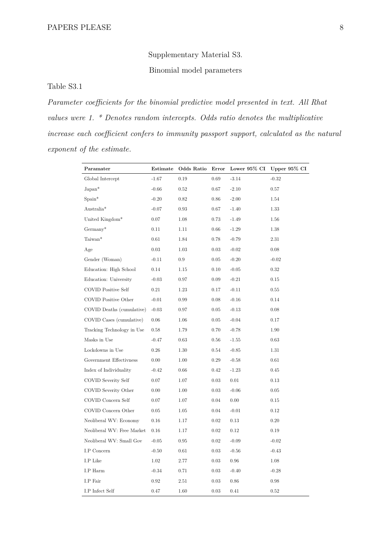Supplementary Material S3. Binomial model parameters

<span id="page-35-0"></span>Table S3.1

*Parameter coefficients for the binomial predictive model presented in text. All Rhat values were 1. \* Denotes random intercepts. Odds ratio denotes the multiplicative increase each coefficient confers to immunity passport support, calculated as the natural exponent of the estimate.*

| Paramater                  | $_{\rm Estimate}$ | Odds Ratio | Error    | Lower $95\%$ CI | Upper $95\%$ CI |
|----------------------------|-------------------|------------|----------|-----------------|-----------------|
| Global Intercept           | $-1.67$           | 0.19       | $0.69\,$ | $-3.14$         | $-0.32$         |
| $Japan*$                   | $-0.66$           | 0.52       | 0.67     | $-2.10$         | 0.57            |
| $Span^*$                   | $-0.20$           | 0.82       | 0.86     | $-2.00$         | 1.54            |
| Australia*                 | $-0.07$           | 0.93       | 0.67     | $-1.40$         | 1.33            |
| United Kingdom*            | 0.07              | 1.08       | 0.73     | $-1.49$         | 1.56            |
| $Germany*$                 | 0.11              | 1.11       | 0.66     | $-1.29$         | 1.38            |
| Taiwan*                    | 0.61              | 1.84       | 0.78     | $-0.79$         | 2.31            |
| Age                        | 0.03              | 1.03       | 0.03     | $-0.02$         | 0.08            |
| Gender (Woman)             | $-0.11$           | $0.9\,$    | $0.05\,$ | $-0.20$         | $-0.02$         |
| Education: High School     | 0.14              | 1.15       | 0.10     | $-0.05$         | 0.32            |
| Education: University      | $-0.03$           | $0.97\,$   | 0.09     | $-0.21$         | 0.15            |
| <b>COVID Positive Self</b> | 0.21              | 1.23       | 0.17     | $-0.11$         | 0.55            |
| COVID Positive Other       | $-0.01$           | 0.99       | 0.08     | $-0.16$         | 0.14            |
| COVID Deaths (cumulative)  | $-0.03$           | 0.97       | 0.05     | $-0.13$         | 0.08            |
| COVID Cases (cumulative)   | 0.06              | 1.06       | 0.05     | $-0.04$         | 0.17            |
| Tracking Technology in Use | 0.58              | 1.79       | 0.70     | $-0.78$         | 1.90            |
| Masks in Use               | $-0.47$           | 0.63       | 0.56     | $-1.55$         | 0.63            |
| Lockdowns in Use           | $0.26\,$          | 1.30       | 0.54     | $-0.85$         | 1.31            |
| Government Effectivness    | 0.00              | 1.00       | 0.29     | $-0.58$         | 0.61            |
| Index of Individuality     | $-0.42$           | 0.66       | $0.42\,$ | $-1.23$         | 0.45            |
| COVID Severity Self        | 0.07              | 1.07       | 0.03     | 0.01            | 0.13            |
| COVID Severity Other       | 0.00              | 1.00       | 0.03     | $-0.06$         | 0.05            |
| COVID Concern Self         | 0.07              | 1.07       | 0.04     | 0.00            | 0.15            |
| COVID Concern Other        | 0.05              | 1.05       | 0.04     | $-0.01$         | 0.12            |
| Neoliberal WV: Economy     | 0.16              | 1.17       | 0.02     | 0.13            | 0.20            |
| Neoliberal WV: Free Market | 0.16              | 1.17       | 0.02     | 0.12            | 0.19            |
| Neoliberal WV: Small Gov   | $-0.05$           | 0.95       | $0.02\,$ | $-0.09$         | $-0.02$         |
| I.P Concern                | $-0.50$           | 0.61       | 0.03     | $-0.56$         | $-0.43$         |
| I.P Like                   | 1.02              | 2.77       | $0.03\,$ | 0.96            | 1.08            |
| I.P Harm                   | $-0.34$           | 0.71       | 0.03     | $-0.40$         | $-0.28$         |
| I.P Fair                   | 0.92              | 2.51       | 0.03     | 0.86            | 0.98            |
| I.P Infect Self            | 0.47              | 1.60       | 0.03     | 0.41            | 0.52            |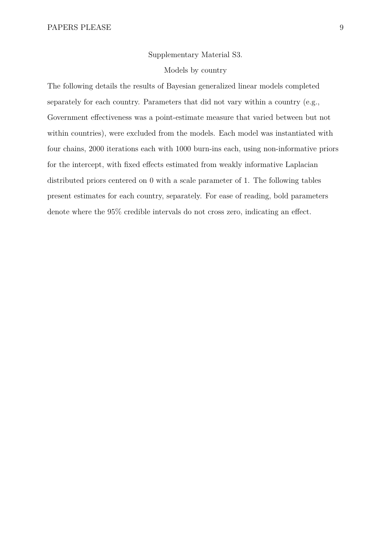### Supplementary Material S3.

## Models by country

The following details the results of Bayesian generalized linear models completed separately for each country. Parameters that did not vary within a country (e.g., Government effectiveness was a point-estimate measure that varied between but not within countries), were excluded from the models. Each model was instantiated with four chains, 2000 iterations each with 1000 burn-ins each, using non-informative priors for the intercept, with fixed effects estimated from weakly informative Laplacian distributed priors centered on 0 with a scale parameter of 1. The following tables present estimates for each country, separately. For ease of reading, bold parameters denote where the 95% credible intervals do not cross zero, indicating an effect.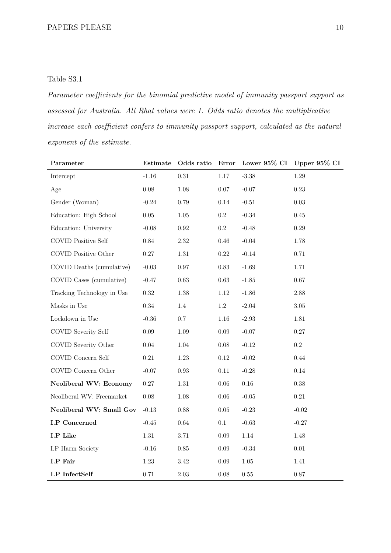# <span id="page-37-0"></span>Table S3.1

*Parameter coefficients for the binomial predictive model of immunity passport support as assessed for Australia. All Rhat values were 1. Odds ratio denotes the multiplicative increase each coefficient confers to immunity passport support, calculated as the natural exponent of the estimate.*

| Parameter                     |          |            |           |          | Estimate Odds ratio Error Lower 95% CI Upper 95% CI |
|-------------------------------|----------|------------|-----------|----------|-----------------------------------------------------|
| Intercept                     | $-1.16$  | $\rm 0.31$ | $1.17\,$  | $-3.38$  | 1.29                                                |
| Age                           | $0.08\,$ | $1.08\,$   | 0.07      | $-0.07$  | 0.23                                                |
| Gender (Woman)                | $-0.24$  | 0.79       | 0.14      | $-0.51$  | 0.03                                                |
| Education: High School        | $0.05\,$ | 1.05       | $0.2\,$   | $-0.34$  | 0.45                                                |
| Education: University         | $-0.08$  | $\rm 0.92$ | $\rm 0.2$ | $-0.48$  | 0.29                                                |
| <b>COVID Positive Self</b>    | $0.84\,$ | $2.32\,$   | $0.46\,$  | $-0.04$  | 1.78                                                |
| COVID Positive Other          | $0.27\,$ | $1.31\,$   | 0.22      | $-0.14$  | $0.71\,$                                            |
| COVID Deaths (cumulative)     | $-0.03$  | $0.97\,$   | 0.83      | $-1.69$  | 1.71                                                |
| COVID Cases (cumulative)      | $-0.47$  | 0.63       | 0.63      | $-1.85$  | 0.67                                                |
| Tracking Technology in Use    | 0.32     | 1.38       | $1.12\,$  | $-1.86$  | 2.88                                                |
| Masks in Use                  | 0.34     | 1.4        | $1.2\,$   | $-2.04$  | 3.05                                                |
| Lockdown in Use               | $-0.36$  | 0.7        | 1.16      | $-2.93$  | 1.81                                                |
| COVID Severity Self           | 0.09     | 1.09       | 0.09      | $-0.07$  | 0.27                                                |
| COVID Severity Other          | $0.04\,$ | $1.04\,$   | $0.08\,$  | $-0.12$  | $0.2\,$                                             |
| COVID Concern Self            | 0.21     | 1.23       | $0.12\,$  | $-0.02$  | 0.44                                                |
| COVID Concern Other           | $-0.07$  | $0.93\,$   | $0.11\,$  | $-0.28$  | $0.14\,$                                            |
| <b>Neoliberal WV: Economy</b> | 0.27     | 1.31       | 0.06      | $0.16\,$ | 0.38                                                |
| Neoliberal WV: Freemarket     | $0.08\,$ | 1.08       | 0.06      | $-0.05$  | $0.21\,$                                            |
| Neoliberal WV: Small Gov      | $-0.13$  | 0.88       | $0.05\,$  | $-0.23$  | $-0.02$                                             |
| I.P Concerned                 | $-0.45$  | $\,0.64\,$ | 0.1       | $-0.63$  | $-0.27$                                             |
| I.P Like                      | $1.31\,$ | 3.71       | $0.09\,$  | 1.14     | 1.48                                                |
| I.P Harm Society              | $-0.16$  | $0.85\,$   | $0.09\,$  | $-0.34$  | $0.01\,$                                            |
| I.P Fair                      | 1.23     | 3.42       | $0.09\,$  | $1.05\,$ | 1.41                                                |
| <b>I.P</b> InfectSelf         | 0.71     | $2.03\,$   | 0.08      | $0.55\,$ | 0.87                                                |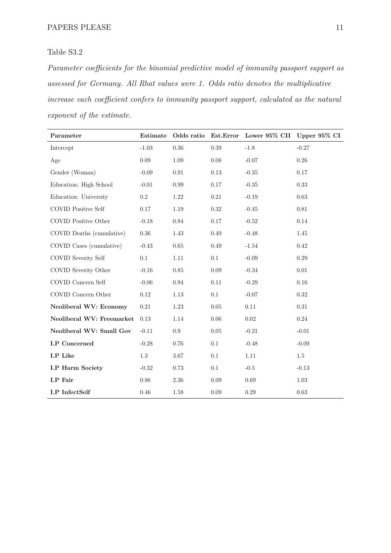*Parameter coefficients for the binomial predictive model of immunity passport support as assessed for Germany. All Rhat values were 1. Odds ratio denotes the multiplicative increase each coefficient confers to immunity passport support, calculated as the natural exponent of the estimate.*

| Parameter                   |          |          |          | Estimate Odds ratio Est. Error Lower 95% CII Upper 95% CI |          |
|-----------------------------|----------|----------|----------|-----------------------------------------------------------|----------|
| Intercept                   | $-1.03$  | 0.36     | 0.39     | $-1.8$                                                    | $-0.27$  |
| Age                         | 0.09     | 1.09     | $0.08\,$ | $-0.07$                                                   | $0.26\,$ |
| Gender (Woman)              | $-0.09$  | 0.91     | $0.13\,$ | $-0.35$                                                   | 0.17     |
| Education: High School      | $-0.01$  | 0.99     | 0.17     | $-0.35$                                                   | 0.33     |
| Education: University       | $0.2\,$  | 1.22     | 0.21     | $-0.19$                                                   | 0.63     |
| <b>COVID Positive Self</b>  | 0.17     | 1.19     | 0.32     | $-0.45$                                                   | $0.81\,$ |
| <b>COVID Positive Other</b> | $-0.18$  | 0.84     | 0.17     | $-0.52$                                                   | $0.14\,$ |
| COVID Deaths (cumulative)   | 0.36     | 1.43     | 0.49     | $-0.48$                                                   | 1.45     |
| COVID Cases (cumulative)    | $-0.43$  | 0.65     | 0.49     | $-1.54$                                                   | 0.42     |
| <b>COVID Severity Self</b>  | 0.1      | 1.11     | 0.1      | $-0.09$                                                   | 0.29     |
| COVID Severity Other        | $-0.16$  | 0.85     | 0.09     | $-0.34$                                                   | 0.01     |
| COVID Concern Self          | $-0.06$  | 0.94     | $0.11\,$ | $-0.29$                                                   | $0.16\,$ |
| COVID Concern Other         | $0.12\,$ | $1.13\,$ | 0.1      | $-0.07$                                                   | $0.32\,$ |
| Neoliberal WV: Economy      | $0.21\,$ | 1.23     | $0.05\,$ | $0.11\,$                                                  | $0.31\,$ |
| Neoliberal WV: Freemarket   | 0.13     | 1.14     | $0.06\,$ | $0.02\,$                                                  | $0.24\,$ |
| Neoliberal WV: Small Gov    | $-0.11$  | 0.9      | 0.05     | $-0.21$                                                   | $-0.01$  |
| I.P Concerned               | $-0.28$  | 0.76     | 0.1      | $-0.48$                                                   | $-0.09$  |
| I.P Like                    | $1.3\,$  | $3.67\,$ | 0.1      | 1.11                                                      | $1.5\,$  |
| I.P Harm Society            | $-0.32$  | 0.73     | 0.1      | $-0.5$                                                    | $-0.13$  |
| I.P Fair                    | $0.86\,$ | $2.36\,$ | $0.09\,$ | $0.69\,$                                                  | $1.03\,$ |
| <b>I.P</b> InfectSelf       | 0.46     | 1.58     | $0.09\,$ | 0.29                                                      | 0.63     |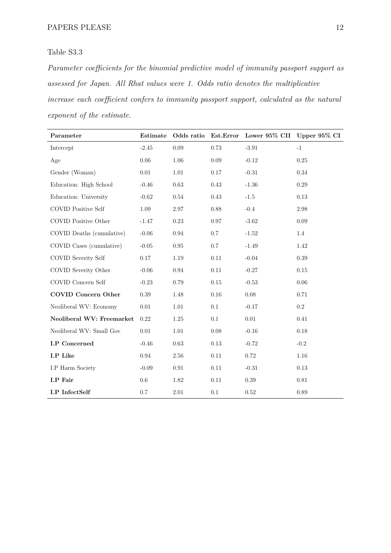*Parameter coefficients for the binomial predictive model of immunity passport support as assessed for Japan. All Rhat values were 1. Odds ratio denotes the multiplicative increase each coefficient confers to immunity passport support, calculated as the natural exponent of the estimate.*

| Parameter                  | Estimate |            |          | Odds ratio Est. Error Lower 95% CII Upper 95% CI |           |
|----------------------------|----------|------------|----------|--------------------------------------------------|-----------|
| Intercept                  | $-2.45$  | 0.09       | 0.73     | $-3.91$                                          | $-1$      |
| Age                        | 0.06     | 1.06       | 0.09     | $-0.12$                                          | $0.25\,$  |
| Gender (Woman)             | $0.01\,$ | $1.01\,$   | $0.17\,$ | $-0.31$                                          | 0.34      |
| Education: High School     | $-0.46$  | 0.63       | $0.43\,$ | $-1.36$                                          | 0.29      |
| Education: University      | $-0.62$  | 0.54       | 0.43     | $-1.5$                                           | 0.13      |
| <b>COVID Positive Self</b> | $1.09\,$ | $2.97\,$   | $0.88\,$ | $-0.4$                                           | 2.98      |
| COVID Positive Other       | $-1.47$  | 0.23       | 0.97     | $-3.62$                                          | 0.09      |
| COVID Deaths (cumulative)  | $-0.06$  | 0.94       | 0.7      | $-1.52$                                          | 1.4       |
| COVID Cases (cumulative)   | $-0.05$  | 0.95       | 0.7      | $-1.49$                                          | 1.42      |
| <b>COVID Severity Self</b> | $0.17\,$ | 1.19       | $0.11\,$ | $-0.04$                                          | 0.39      |
| COVID Severity Other       | $-0.06$  | 0.94       | 0.11     | $-0.27$                                          | $0.15\,$  |
| COVID Concern Self         | $-0.23$  | 0.79       | 0.15     | $-0.53$                                          | 0.06      |
| <b>COVID Concern Other</b> | 0.39     | 1.48       | $0.16\,$ | 0.08                                             | 0.71      |
| Neoliberal WV: Economy     | $0.01\,$ | 1.01       | 0.1      | $-0.17$                                          | $\rm 0.2$ |
| Neoliberal WV: Freemarket  | 0.22     | 1.25       | 0.1      | $0.01\,$                                         | 0.41      |
| Neoliberal WV: Small Gov   | $0.01\,$ | 1.01       | $0.08\,$ | $-0.16$                                          | $0.18\,$  |
| I.P Concerned              | $-0.46$  | 0.63       | $0.13\,$ | $-0.72$                                          | $-0.2$    |
| I.P Like                   | $0.94\,$ | $2.56\,$   | $0.11\,$ | $0.72\,$                                         | $1.16\,$  |
| I.P Harm Society           | $-0.09$  | $\rm 0.91$ | 0.11     | $-0.31$                                          | 0.13      |
| I.P Fair                   | $0.6\,$  | 1.82       | $0.11\,$ | $0.39\,$                                         | $0.81\,$  |
| <b>I.P</b> InfectSelf      | 0.7      | $2.01\,$   | 0.1      | $0.52\,$                                         | $0.89\,$  |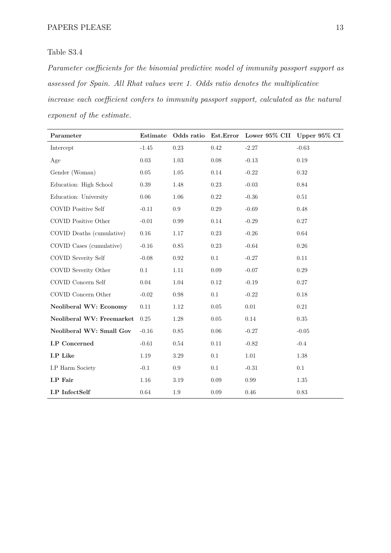*Parameter coefficients for the binomial predictive model of immunity passport support as assessed for Spain. All Rhat values were 1. Odds ratio denotes the multiplicative increase each coefficient confers to immunity passport support, calculated as the natural exponent of the estimate.*

| Parameter                  | Estimate |            |          | Odds ratio Est. Error Lower 95% CII Upper 95% CI |          |
|----------------------------|----------|------------|----------|--------------------------------------------------|----------|
| Intercept                  | $-1.45$  | 0.23       | 0.42     | $-2.27$                                          | $-0.63$  |
| Age                        | $0.03\,$ | $1.03\,$   | 0.08     | $-0.13$                                          | 0.19     |
| Gender (Woman)             | $0.05\,$ | $1.05\,$   | $0.14\,$ | $-0.22$                                          | $0.32\,$ |
| Education: High School     | 0.39     | 1.48       | 0.23     | $-0.03$                                          | 0.84     |
| Education: University      | 0.06     | 1.06       | 0.22     | $-0.36$                                          | $0.51\,$ |
| <b>COVID Positive Self</b> | $-0.11$  | 0.9        | 0.29     | $-0.69$                                          | 0.48     |
| COVID Positive Other       | $-0.01$  | 0.99       | $0.14\,$ | $-0.29$                                          | $0.27\,$ |
| COVID Deaths (cumulative)  | $0.16\,$ | 1.17       | $0.23\,$ | $-0.26$                                          | $0.64\,$ |
| COVID Cases (cumulative)   | $-0.16$  | $0.85\,$   | $0.23\,$ | $-0.64$                                          | $0.26\,$ |
| COVID Severity Self        | $-0.08$  | $\rm 0.92$ | 0.1      | $-0.27$                                          | $0.11\,$ |
| COVID Severity Other       | 0.1      | 1.11       | $0.09\,$ | $-0.07$                                          | $0.29\,$ |
| COVID Concern Self         | 0.04     | 1.04       | 0.12     | $-0.19$                                          | $0.27\,$ |
| COVID Concern Other        | $-0.02$  | $0.98\,$   | 0.1      | $-0.22$                                          | $0.18\,$ |
| Neoliberal WV: Economy     | $0.11\,$ | $1.12\,$   | 0.05     | $0.01\,$                                         | $0.21\,$ |
| Neoliberal WV: Freemarket  | 0.25     | 1.28       | 0.05     | 0.14                                             | $0.35\,$ |
| Neoliberal WV: Small Gov   | $-0.16$  | 0.85       | $0.06\,$ | $-0.27$                                          | $-0.05$  |
| <b>I.P</b> Concerned       | $-0.61$  | 0.54       | 0.11     | $-0.82$                                          | $-0.4$   |
| I.P Like                   | 1.19     | 3.29       | 0.1      | $1.01\,$                                         | 1.38     |
| I.P Harm Society           | $-0.1$   | $0.9\,$    | 0.1      | $-0.31$                                          | 0.1      |
| I.P Fair                   | $1.16\,$ | 3.19       | $0.09\,$ | $0.99\,$                                         | $1.35\,$ |
| <b>I.P</b> InfectSelf      | $0.64\,$ | $1.9\,$    | $0.09\,$ | 0.46                                             | $0.83\,$ |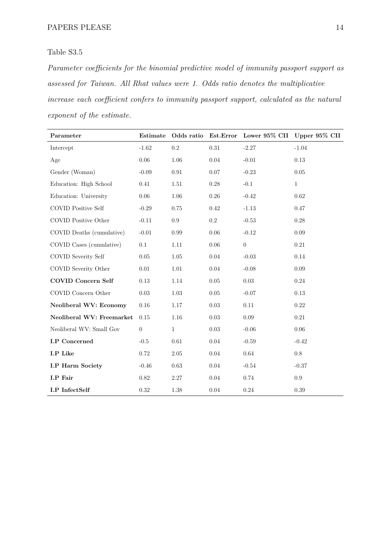*Parameter coefficients for the binomial predictive model of immunity passport support as assessed for Taiwan. All Rhat values were 1. Odds ratio denotes the multiplicative increase each coefficient confers to immunity passport support, calculated as the natural exponent of the estimate.*

| Parameter                  | Estimate         |              |           | Odds ratio Est. Error Lower 95% CII Upper 95% CII |              |
|----------------------------|------------------|--------------|-----------|---------------------------------------------------|--------------|
| Intercept                  | $-1.62$          | $0.2\,$      | 0.31      | $-2.27$                                           | $-1.04$      |
| Age                        | $0.06\,$         | 1.06         | 0.04      | $-0.01$                                           | 0.13         |
| Gender (Woman)             | $-0.09$          | $\rm 0.91$   | $0.07\,$  | $-0.23$                                           | 0.05         |
| Education: High School     | 0.41             | 1.51         | 0.28      | $-0.1$                                            | $\mathbf{1}$ |
| Education: University      | 0.06             | 1.06         | 0.26      | $-0.42$                                           | 0.62         |
| <b>COVID Positive Self</b> | $-0.29$          | 0.75         | $0.42\,$  | $-1.13$                                           | 0.47         |
| COVID Positive Other       | $-0.11$          | $0.9\,$      | $\rm 0.2$ | $-0.53$                                           | 0.28         |
| COVID Deaths (cumulative)  | $-0.01$          | 0.99         | 0.06      | $-0.12$                                           | 0.09         |
| COVID Cases (cumulative)   | 0.1              | $1.11\,$     | 0.06      | $\boldsymbol{0}$                                  | 0.21         |
| COVID Severity Self        | 0.05             | 1.05         | 0.04      | $-0.03$                                           | 0.14         |
| COVID Severity Other       | 0.01             | $1.01\,$     | $0.04\,$  | $-0.08$                                           | 0.09         |
| <b>COVID Concern Self</b>  | 0.13             | 1.14         | $0.05\,$  | $0.03\,$                                          | 0.24         |
| COVID Concern Other        | 0.03             | $1.03\,$     | 0.05      | $-0.07$                                           | 0.13         |
| Neoliberal WV: Economy     | $0.16\,$         | 1.17         | 0.03      | 0.11                                              | 0.22         |
| Neoliberal WV: Freemarket  | 0.15             | $1.16\,$     | 0.03      | 0.09                                              | 0.21         |
| Neoliberal WV: Small Gov   | $\boldsymbol{0}$ | $\mathbf{1}$ | $0.03\,$  | $-0.06$                                           | $0.06\,$     |
| <b>I.P</b> Concerned       | $-0.5$           | $0.61\,$     | 0.04      | $-0.59$                                           | $-0.42$      |
| I.P Like                   | 0.72             | $2.05\,$     | 0.04      | 0.64                                              | $0.8\,$      |
| <b>I.P Harm Society</b>    | $-0.46$          | $0.63\,$     | $0.04\,$  | $-0.54$                                           | $-0.37$      |
| I.P Fair                   | 0.82             | $2.27\,$     | 0.04      | 0.74                                              | 0.9          |
| <b>I.P</b> InfectSelf      | 0.32             | $1.38\,$     | 0.04      | $0.24\,$                                          | 0.39         |